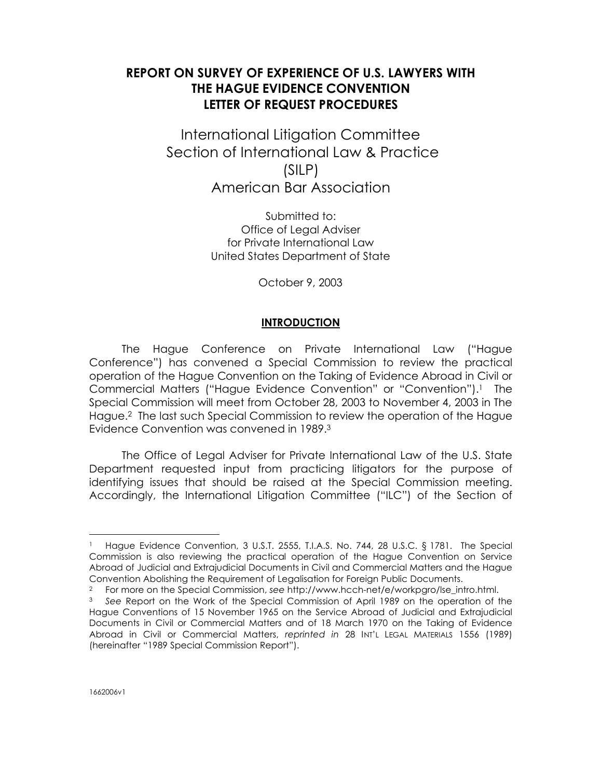# **REPORT ON SURVEY OF EXPERIENCE OF U.S. LAWYERS WITH THE HAGUE EVIDENCE CONVENTION LETTER OF REQUEST PROCEDURES**

International Litigation Committee Section of International Law & Practice (SILP) American Bar Association

> Submitted to: Office of Legal Adviser for Private International Law United States Department of State

> > October 9, 2003

#### **INTRODUCTION**

The Hague Conference on Private International Law ("Hague Conference") has convened a Special Commission to review the practical operation of the Hague Convention on the Taking of Evidence Abroad in Civil or Commercial Matters ("Hague Evidence Convention" or "Convention").<sup>1</sup> The Special Commission will meet from October 28, 2003 to November 4, 2003 in The Hague.2 The last such Special Commission to review the operation of the Hague Evidence Convention was convened in 1989.<sup>3</sup>

The Office of Legal Adviser for Private International Law of the U.S. State Department requested input from practicing litigators for the purpose of identifying issues that should be raised at the Special Commission meeting. Accordingly, the International Litigation Committee ("ILC") of the Section of

<sup>1</sup> Hague Evidence Convention, 3 U.S.T. 2555, T.I.A.S. No. 744, 28 U.S.C. § 1781. The Special Commission is also reviewing the practical operation of the Hague Convention on Service Abroad of Judicial and Extrajudicial Documents in Civil and Commercial Matters and the Hague Convention Abolishing the Requirement of Legalisation for Foreign Public Documents.

<sup>2</sup> For more on the Special Commission, *see* http://www.hcch-net/e/workpgro/lse\_intro.html.

<sup>3</sup> *See* Report on the Work of the Special Commission of April 1989 on the operation of the Hague Conventions of 15 November 1965 on the Service Abroad of Judicial and Extrajudicial Documents in Civil or Commercial Matters and of 18 March 1970 on the Taking of Evidence Abroad in Civil or Commercial Matters, *reprinted in* 28 INT'L LEGAL MATERIALS 1556 (1989) (hereinafter "1989 Special Commission Report").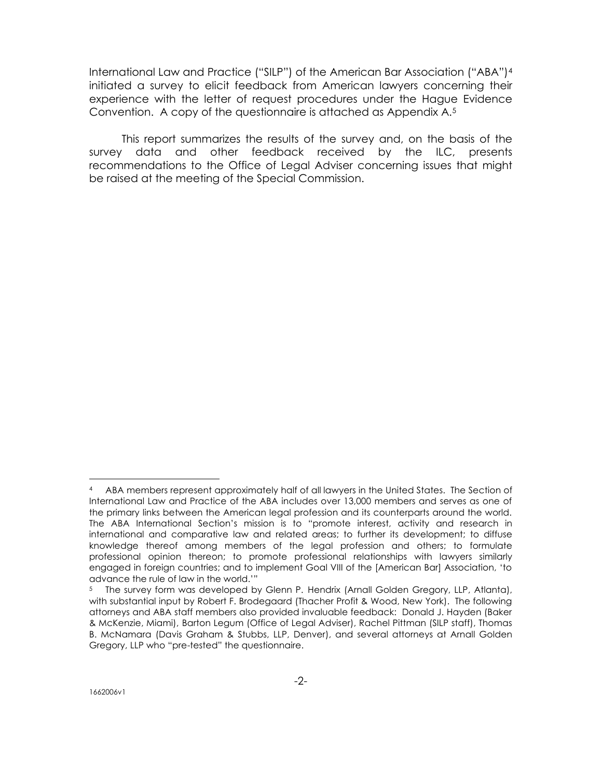International Law and Practice ("SILP") of the American Bar Association ("ABA")<sup>4</sup> initiated a survey to elicit feedback from American lawyers concerning their experience with the letter of request procedures under the Hague Evidence Convention. A copy of the questionnaire is attached as Appendix A.<sup>5</sup>

This report summarizes the results of the survey and, on the basis of the survey data and other feedback received by the ILC, presents recommendations to the Office of Legal Adviser concerning issues that might be raised at the meeting of the Special Commission.

<sup>4</sup> ABA members represent approximately half of all lawyers in the United States. The Section of International Law and Practice of the ABA includes over 13,000 members and serves as one of the primary links between the American legal profession and its counterparts around the world. The ABA International Section's mission is to "promote interest, activity and research in international and comparative law and related areas; to further its development; to diffuse knowledge thereof among members of the legal profession and others; to formulate professional opinion thereon; to promote professional relationships with lawyers similarly engaged in foreign countries; and to implement Goal VIII of the [American Bar] Association, 'to advance the rule of law in the world.'"

<sup>5</sup> The survey form was developed by Glenn P. Hendrix (Arnall Golden Gregory, LLP, Atlanta), with substantial input by Robert F. Brodegaard (Thacher Profit & Wood, New York). The following attorneys and ABA staff members also provided invaluable feedback: Donald J. Hayden (Baker & McKenzie, Miami), Barton Legum (Office of Legal Adviser), Rachel Pittman (SILP staff), Thomas B. McNamara (Davis Graham & Stubbs, LLP, Denver), and several attorneys at Arnall Golden Gregory, LLP who "pre-tested" the questionnaire.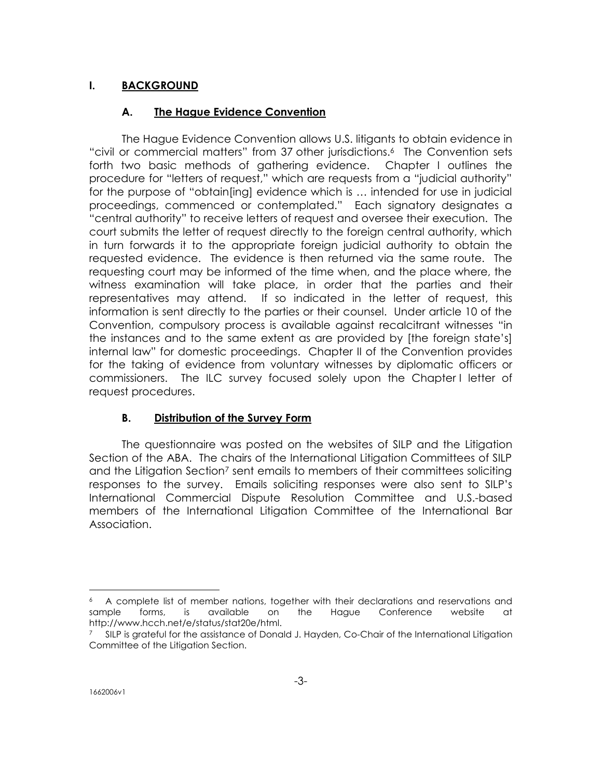# **I. BACKGROUND**

# **A. The Hague Evidence Convention**

The Hague Evidence Convention allows U.S. litigants to obtain evidence in "civil or commercial matters" from 37 other jurisdictions.6 The Convention sets forth two basic methods of gathering evidence. Chapter I outlines the procedure for "letters of request," which are requests from a "judicial authority" for the purpose of "obtain[ing] evidence which is … intended for use in judicial proceedings, commenced or contemplated." Each signatory designates a "central authority" to receive letters of request and oversee their execution. The court submits the letter of request directly to the foreign central authority, which in turn forwards it to the appropriate foreign judicial authority to obtain the requested evidence. The evidence is then returned via the same route. The requesting court may be informed of the time when, and the place where, the witness examination will take place, in order that the parties and their representatives may attend. If so indicated in the letter of request, this information is sent directly to the parties or their counsel. Under article 10 of the Convention, compulsory process is available against recalcitrant witnesses "in the instances and to the same extent as are provided by [the foreign state's] internal law" for domestic proceedings. Chapter II of the Convention provides for the taking of evidence from voluntary witnesses by diplomatic officers or commissioners. The ILC survey focused solely upon the Chapter I letter of request procedures.

# **B. Distribution of the Survey Form**

The questionnaire was posted on the websites of SILP and the Litigation Section of the ABA. The chairs of the International Litigation Committees of SILP and the Litigation Section<sup>7</sup> sent emails to members of their committees soliciting responses to the survey. Emails soliciting responses were also sent to SILP's International Commercial Dispute Resolution Committee and U.S.-based members of the International Litigation Committee of the International Bar Association.

<sup>6</sup> A complete list of member nations, together with their declarations and reservations and sample forms, is available on the Hague Conference website at http://www.hcch.net/e/status/stat20e/html.

SILP is grateful for the assistance of Donald J. Hayden, Co-Chair of the International Litigation Committee of the Litigation Section.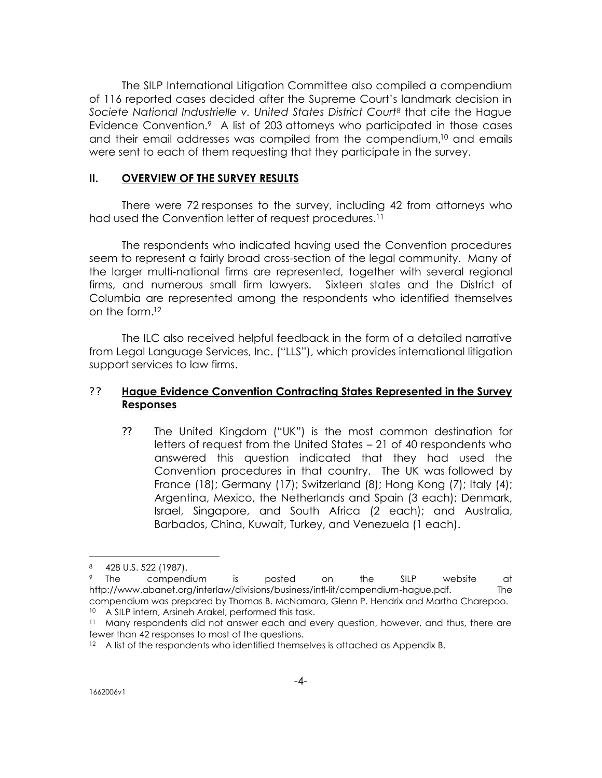The SILP International Litigation Committee also compiled a compendium of 116 reported cases decided after the Supreme Court's landmark decision in *Societe National Industrielle v. United States District Court8* that cite the Hague Evidence Convention.<sup>9</sup> A list of 203 attorneys who participated in those cases and their email addresses was compiled from the compendium,10 and emails were sent to each of them requesting that they participate in the survey.

#### **II. OVERVIEW OF THE SURVEY RESULTS**

There were 72 responses to the survey, including 42 from attorneys who had used the Convention letter of request procedures.<sup>11</sup>

The respondents who indicated having used the Convention procedures seem to represent a fairly broad cross-section of the legal community. Many of the larger multi-national firms are represented, together with several regional firms, and numerous small firm lawyers. Sixteen states and the District of Columbia are represented among the respondents who identified themselves on the form.<sup>12</sup>

The ILC also received helpful feedback in the form of a detailed narrative from Legal Language Services, Inc. ("LLS"), which provides international litigation support services to law firms.

## ? ? **Hague Evidence Convention Contracting States Represented in the Survey Responses**

?? The United Kingdom ("UK") is the most common destination for letters of request from the United States – 21 of 40 respondents who answered this question indicated that they had used the Convention procedures in that country. The UK was followed by France (18); Germany (17); Switzerland (8); Hong Kong (7); Italy (4); Argentina, Mexico, the Netherlands and Spain (3 each); Denmark, Israel, Singapore, and South Africa (2 each); and Australia, Barbados, China, Kuwait, Turkey, and Venezuela (1 each).

<sup>8</sup> 428 U.S. 522 (1987).

<sup>9</sup> The compendium is posted on the SILP website at http://www.abanet.org/interlaw/divisions/business/intl-lit/compendium-hague.pdf. The compendium was prepared by Thomas B. McNamara, Glenn P. Hendrix and Martha Charepoo. <sup>10</sup> A SILP intern, Arsineh Arakel, performed this task.

<sup>&</sup>lt;sup>11</sup> Many respondents did not answer each and every question, however, and thus, there are fewer than 42 responses to most of the questions.

<sup>&</sup>lt;sup>12</sup> A list of the respondents who identified themselves is attached as Appendix B.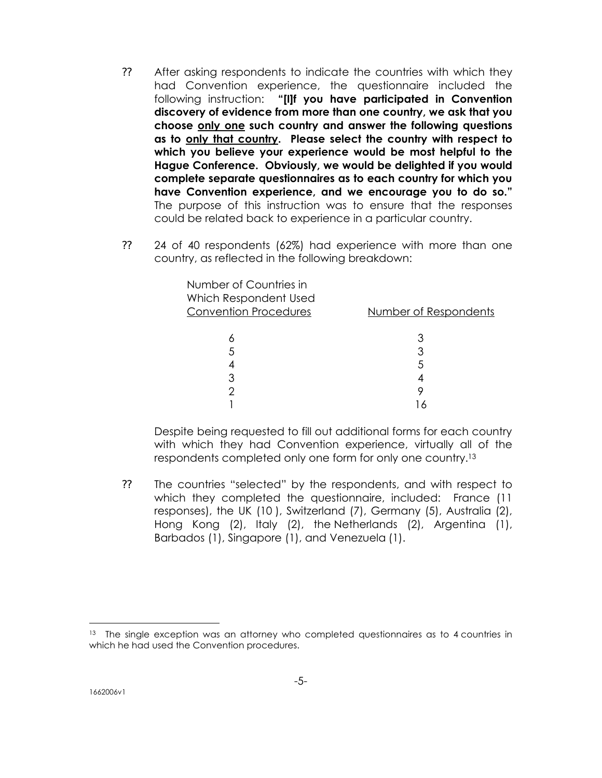- ?? After asking respondents to indicate the countries with which they had Convention experience, the questionnaire included the following instruction: **"[I]f you have participated in Convention discovery of evidence from more than one country, we ask that you choose only one such country and answer the following questions as to only that country. Please select the country with respect to which you believe your experience would be most helpful to the Hague Conference. Obviously, we would be delighted if you would complete separate questionnaires as to each country for which you have Convention experience, and we encourage you to do so."**  The purpose of this instruction was to ensure that the responses could be related back to experience in a particular country.
- ?? 24 of 40 respondents (62%) had experience with more than one country, as reflected in the following breakdown:

| Number of Countries in<br>Which Respondent Used<br><b>Convention Procedures</b> | Number of Respondents |
|---------------------------------------------------------------------------------|-----------------------|
|                                                                                 |                       |
| 5                                                                               |                       |
|                                                                                 | 5                     |
|                                                                                 |                       |
|                                                                                 |                       |
|                                                                                 |                       |

Despite being requested to fill out additional forms for each country with which they had Convention experience, virtually all of the respondents completed only one form for only one country.<sup>13</sup>

?? The countries "selected" by the respondents, and with respect to which they completed the questionnaire, included: France (11 responses), the UK (10 ), Switzerland (7), Germany (5), Australia (2), Hong Kong (2), Italy (2), the Netherlands (2), Argentina (1), Barbados (1), Singapore (1), and Venezuela (1).

<sup>&</sup>lt;sup>13</sup> The single exception was an attorney who completed questionnaires as to 4 countries in which he had used the Convention procedures.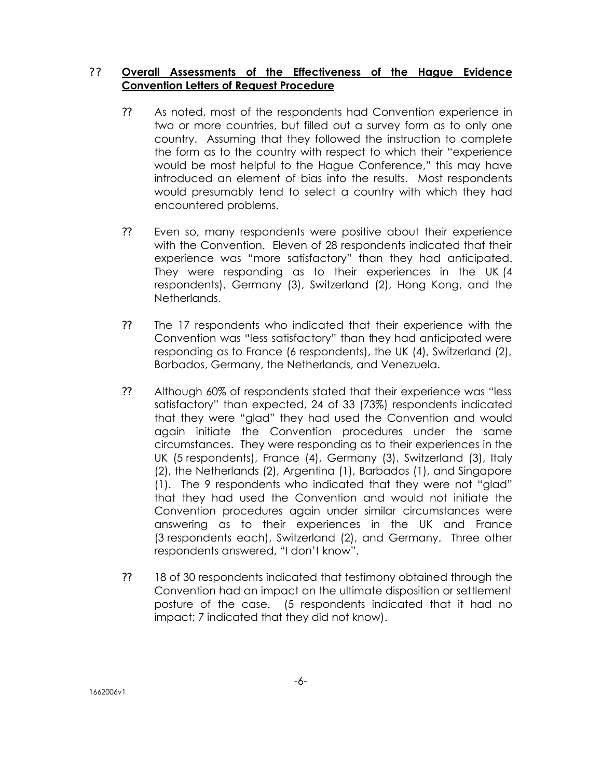# ? ? **Overall Assessments of the Effectiveness of the Hague Evidence Convention Letters of Request Procedure**

- ?? As noted, most of the respondents had Convention experience in two or more countries, but filled out a survey form as to only one country. Assuming that they followed the instruction to complete the form as to the country with respect to which their "experience would be most helpful to the Hague Conference," this may have introduced an element of bias into the results. Most respondents would presumably tend to select a country with which they had encountered problems.
- ?? Even so, many respondents were positive about their experience with the Convention. Eleven of 28 respondents indicated that their experience was "more satisfactory" than they had anticipated. They were responding as to their experiences in the UK (4 respondents), Germany (3), Switzerland (2), Hong Kong, and the Netherlands.
- ?? The 17 respondents who indicated that their experience with the Convention was "less satisfactory" than they had anticipated were responding as to France (6 respondents), the UK (4), Switzerland (2), Barbados, Germany, the Netherlands, and Venezuela.
- ?? Although 60% of respondents stated that their experience was "less satisfactory" than expected, 24 of 33 (73%) respondents indicated that they were "glad" they had used the Convention and would again initiate the Convention procedures under the same circumstances. They were responding as to their experiences in the UK (5 respondents), France (4), Germany (3), Switzerland (3), Italy (2), the Netherlands (2), Argentina (1), Barbados (1), and Singapore (1). The 9 respondents who indicated that they were not "glad" that they had used the Convention and would not initiate the Convention procedures again under similar circumstances were answering as to their experiences in the UK and France (3 respondents each), Switzerland (2), and Germany. Three other respondents answered, "I don't know".
- ?? 18 of 30 respondents indicated that testimony obtained through the Convention had an impact on the ultimate disposition or settlement posture of the case. (5 respondents indicated that it had no impact; 7 indicated that they did not know).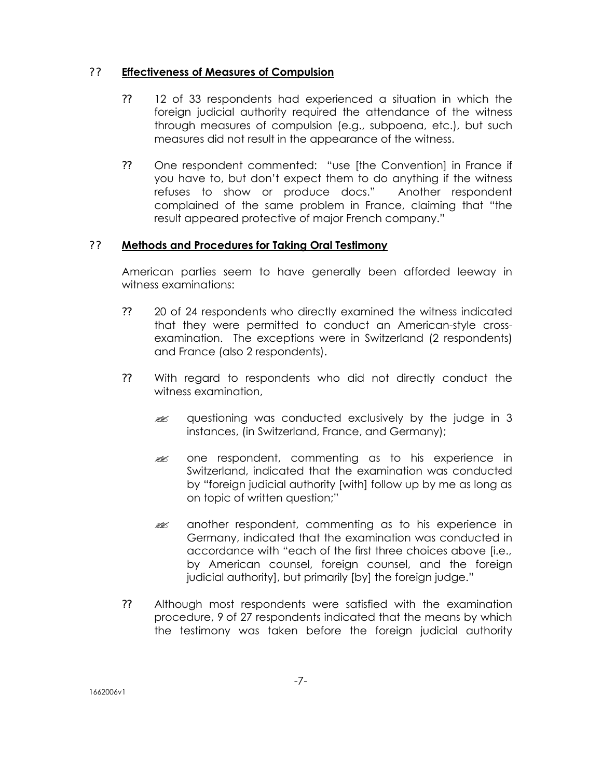## ? ? **Effectiveness of Measures of Compulsion**

- ?? 12 of 33 respondents had experienced a situation in which the foreign judicial authority required the attendance of the witness through measures of compulsion (e.g., subpoena, etc.), but such measures did not result in the appearance of the witness.
- ?? One respondent commented: "use [the Convention] in France if you have to, but don't expect them to do anything if the witness refuses to show or produce docs." Another respondent complained of the same problem in France, claiming that "the result appeared protective of major French company."

# ? ? **Methods and Procedures for Taking Oral Testimony**

American parties seem to have generally been afforded leeway in witness examinations:

- ?? 20 of 24 respondents who directly examined the witness indicated that they were permitted to conduct an American-style crossexamination. The exceptions were in Switzerland (2 respondents) and France (also 2 respondents).
- ?? With regard to respondents who did not directly conduct the witness examination,
	- $\mathscr{L}$  questioning was conducted exclusively by the judge in 3 instances, (in Switzerland, France, and Germany);
	- ex one respondent, commenting as to his experience in Switzerland, indicated that the examination was conducted by "foreign judicial authority [with] follow up by me as long as on topic of written question;"
	- **Example 20** another respondent, commenting as to his experience in Germany, indicated that the examination was conducted in accordance with "each of the first three choices above [i.e., by American counsel, foreign counsel, and the foreign judicial authority], but primarily [by] the foreign judge."
- ?? Although most respondents were satisfied with the examination procedure, 9 of 27 respondents indicated that the means by which the testimony was taken before the foreign judicial authority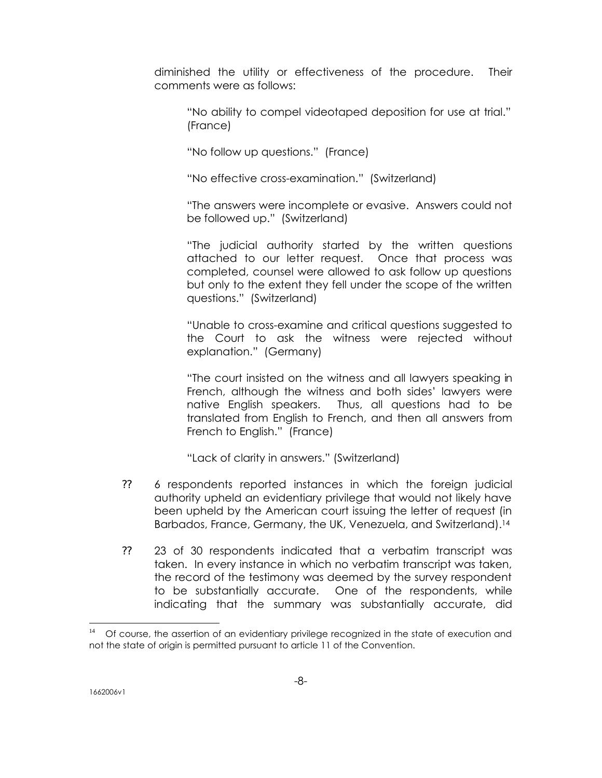diminished the utility or effectiveness of the procedure. Their comments were as follows:

"No ability to compel videotaped deposition for use at trial." (France)

"No follow up questions." (France)

"No effective cross-examination." (Switzerland)

"The answers were incomplete or evasive. Answers could not be followed up." (Switzerland)

"The judicial authority started by the written questions attached to our letter request. Once that process was completed, counsel were allowed to ask follow up questions but only to the extent they fell under the scope of the written questions." (Switzerland)

"Unable to cross-examine and critical questions suggested to the Court to ask the witness were rejected without explanation." (Germany)

"The court insisted on the witness and all lawyers speaking in French, although the witness and both sides' lawyers were native English speakers. Thus, all questions had to be translated from English to French, and then all answers from French to English." (France)

"Lack of clarity in answers." (Switzerland)

- ?? 6 respondents reported instances in which the foreign judicial authority upheld an evidentiary privilege that would not likely have been upheld by the American court issuing the letter of request (in Barbados, France, Germany, the UK, Venezuela, and Switzerland).<sup>14</sup>
- ?? 23 of 30 respondents indicated that a verbatim transcript was taken. In every instance in which no verbatim transcript was taken, the record of the testimony was deemed by the survey respondent to be substantially accurate. One of the respondents, while indicating that the summary was substantially accurate, did

<sup>&</sup>lt;sup>14</sup> Of course, the assertion of an evidentiary privilege recognized in the state of execution and not the state of origin is permitted pursuant to article 11 of the Convention.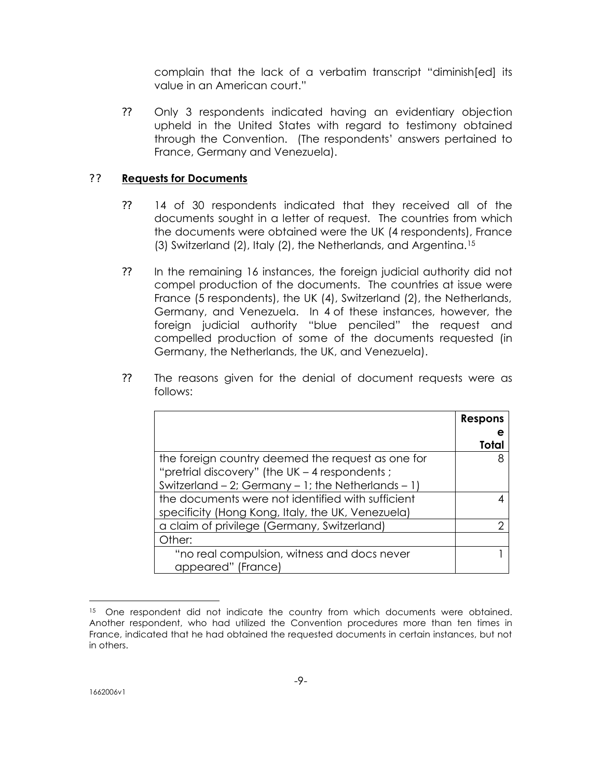complain that the lack of a verbatim transcript "diminish[ed] its value in an American court."

?? Only 3 respondents indicated having an evidentiary objection upheld in the United States with regard to testimony obtained through the Convention. (The respondents' answers pertained to France, Germany and Venezuela).

# ? ? **Requests for Documents**

- ?? 14 of 30 respondents indicated that they received all of the documents sought in a letter of request. The countries from which the documents were obtained were the UK (4 respondents), France (3) Switzerland (2), Italy (2), the Netherlands, and Argentina.<sup>15</sup>
- ?? In the remaining 16 instances, the foreign judicial authority did not compel production of the documents. The countries at issue were France (5 respondents), the UK (4), Switzerland (2), the Netherlands, Germany, and Venezuela. In 4 of these instances, however, the foreign judicial authority "blue penciled" the request and compelled production of some of the documents requested (in Germany, the Netherlands, the UK, and Venezuela).
- ?? The reasons given for the denial of document requests were as follows:

|                                                          | <b>Respons</b> |
|----------------------------------------------------------|----------------|
|                                                          |                |
|                                                          | Total          |
| the foreign country deemed the request as one for        | 8              |
| "pretrial discovery" (the UK - 4 respondents;            |                |
| Switzerland $-2$ ; Germany $-1$ ; the Netherlands $-1$ ) |                |
| the documents were not identified with sufficient        |                |
| specificity (Hong Kong, Italy, the UK, Venezuela)        |                |
| a claim of privilege (Germany, Switzerland)              | ⌒              |
| Other:                                                   |                |
| "no real compulsion, witness and docs never              |                |
| appeared" (France)                                       |                |

<sup>&</sup>lt;sup>15</sup> One respondent did not indicate the country from which documents were obtained. Another respondent, who had utilized the Convention procedures more than ten times in France, indicated that he had obtained the requested documents in certain instances, but not in others.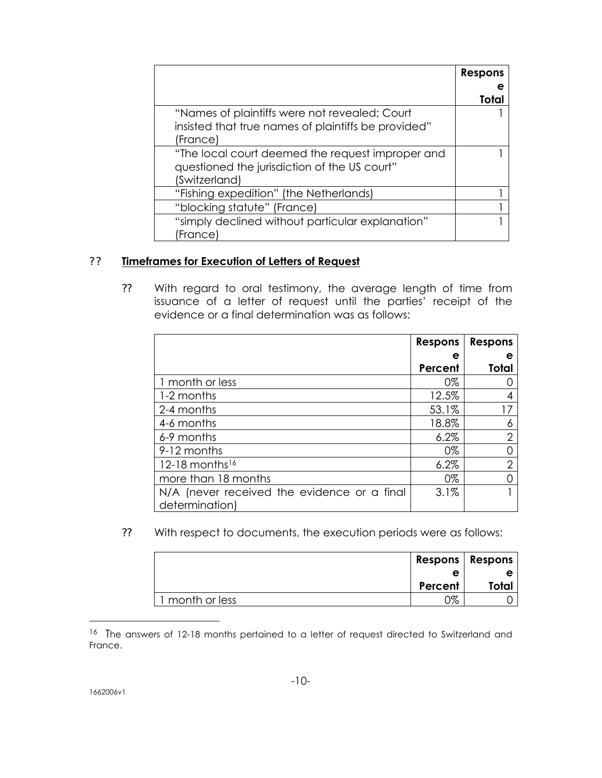|                                                     | Respons |
|-----------------------------------------------------|---------|
|                                                     |         |
|                                                     | Total   |
| "Names of plaintiffs were not revealed; Court       |         |
| insisted that true names of plaintiffs be provided" |         |
| (France)                                            |         |
| "The local court deemed the request improper and    |         |
| questioned the jurisdiction of the US court"        |         |
| (Switzerland)                                       |         |
| "Fishing expedition" (the Netherlands)              |         |
| "blocking statute" (France)                         |         |
| "simply declined without particular explanation"    |         |
| (France)                                            |         |

# ? ? **Timeframes for Execution of Letters of Request**

?? With regard to oral testimony, the average length of time from issuance of a letter of request until the parties' receipt of the evidence or a final determination was as follows:

|                                                               | <b>Respons</b> | <b>Respons</b> |
|---------------------------------------------------------------|----------------|----------------|
|                                                               | е              | е              |
|                                                               | Percent        | Total          |
| 1 month or less                                               | 0%             |                |
| 1-2 months                                                    | 12.5%          |                |
| 2-4 months                                                    | 53.1%          |                |
| 4-6 months                                                    | 18.8%          |                |
| 6-9 months                                                    | 6.2%           | $\overline{2}$ |
| 9-12 months                                                   | 0%             |                |
| 12-18 months <sup>16</sup>                                    | 6.2%           | 2              |
| more than 18 months                                           | 0%             |                |
| N/A (never received the evidence or a final<br>determination) | 3.1%           |                |

?? With respect to documents, the execution periods were as follows:

|                 | Respons   Respons |       |
|-----------------|-------------------|-------|
|                 |                   |       |
|                 | Percent           | Total |
| 1 month or less | $2\%$             |       |

<sup>&</sup>lt;sup>16</sup> The answers of 12-18 months pertained to a letter of request directed to Switzerland and France.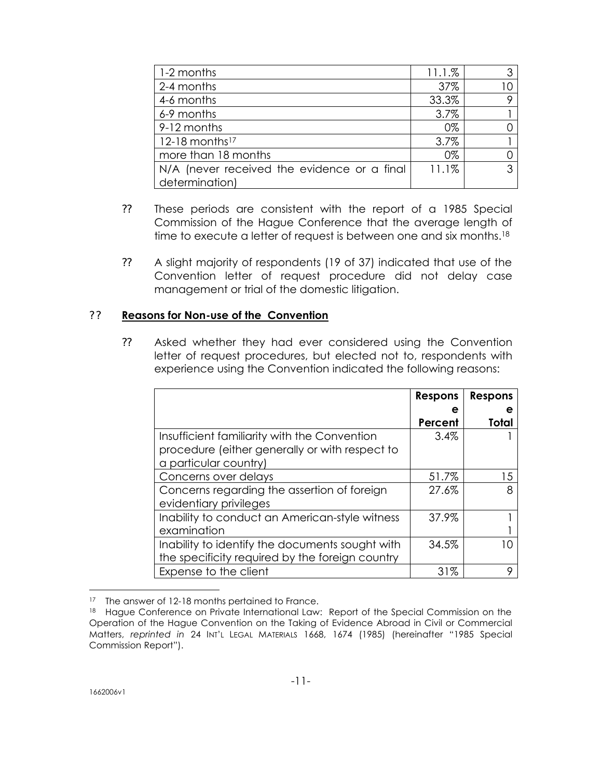| 1-2 months                                  | 11.1.% | 3 <sup>1</sup> |
|---------------------------------------------|--------|----------------|
| 2-4 months                                  | 37%    |                |
| 4-6 months                                  | 33.3%  | 9              |
| 6-9 months                                  | 3.7%   |                |
| 9-12 months                                 | 0%     |                |
| 12-18 months <sup>17</sup>                  | 3.7%   |                |
| more than 18 months                         | 0%     |                |
| N/A (never received the evidence or a final | 11.1%  | 3              |
| determination)                              |        |                |

- ?? These periods are consistent with the report of a 1985 Special Commission of the Hague Conference that the average length of time to execute a letter of request is between one and six months.<sup>18</sup>
- ?? A slight majority of respondents (19 of 37) indicated that use of the Convention letter of request procedure did not delay case management or trial of the domestic litigation.

## ? ? **Reasons for Non-use of the Convention**

?? Asked whether they had ever considered using the Convention letter of request procedures, but elected not to, respondents with experience using the Convention indicated the following reasons:

|                                                 | <b>Respons</b> | <b>Respons</b> |
|-------------------------------------------------|----------------|----------------|
|                                                 |                |                |
|                                                 | Percent        | Total          |
| Insufficient familiarity with the Convention    | $3.4\%$        |                |
| procedure (either generally or with respect to  |                |                |
| a particular country)                           |                |                |
| Concerns over delays                            | 51.7%          | 15             |
| Concerns regarding the assertion of foreign     | 27.6%          | 8              |
| evidentiary privileges                          |                |                |
| Inability to conduct an American-style witness  | 37.9%          |                |
| examination                                     |                |                |
| Inability to identify the documents sought with | 34.5%          |                |
| the specificity required by the foreign country |                |                |
| Expense to the client                           | 31%            |                |

<sup>&</sup>lt;sup>17</sup> The answer of 12-18 months pertained to France.

<sup>18</sup> Hague Conference on Private International Law: Report of the Special Commission on the Operation of the Hague Convention on the Taking of Evidence Abroad in Civil or Commercial Matters, *reprinted in* 24 INT'L LEGAL MATERIALS 1668, 1674 (1985) (hereinafter "1985 Special Commission Report").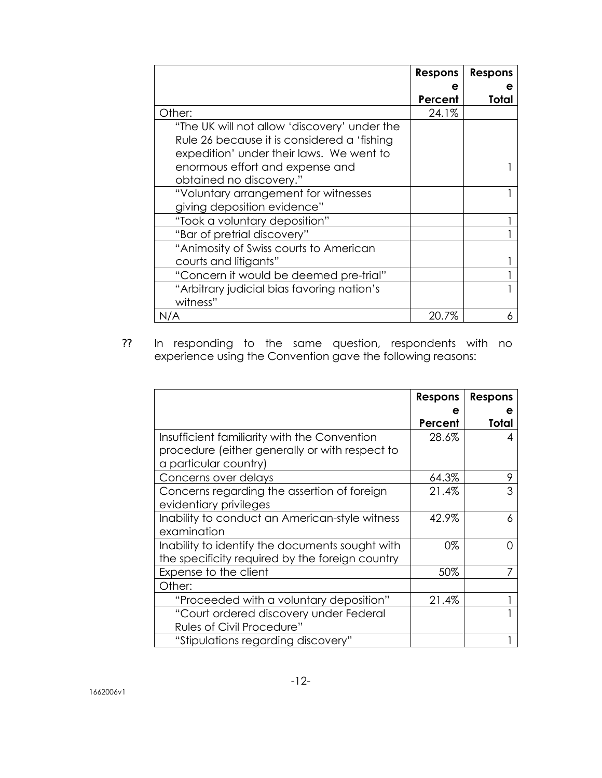|                                              | <b>Respons</b> | <b>Respons</b> |
|----------------------------------------------|----------------|----------------|
|                                              |                |                |
|                                              | Percent        | Total          |
| Other:                                       | 24.1%          |                |
| "The UK will not allow 'discovery' under the |                |                |
| Rule 26 because it is considered a 'fishing  |                |                |
| expedition' under their laws. We went to     |                |                |
| enormous effort and expense and              |                |                |
| obtained no discovery."                      |                |                |
| "Voluntary arrangement for witnesses         |                |                |
| giving deposition evidence"                  |                |                |
| "Took a voluntary deposition"                |                |                |
| "Bar of pretrial discovery"                  |                |                |
| "Animosity of Swiss courts to American       |                |                |
| courts and litigants"                        |                |                |
| "Concern it would be deemed pre-trial"       |                |                |
| "Arbitrary judicial bias favoring nation's   |                |                |
| witness"                                     |                |                |
| N/A                                          | 20.7%          |                |

?? In responding to the same question, respondents with no experience using the Convention gave the following reasons:

|                                                 | <b>Respons</b> | <b>Respons</b> |
|-------------------------------------------------|----------------|----------------|
|                                                 | е              | е              |
|                                                 | Percent        | Total          |
| Insufficient familiarity with the Convention    | 28.6%          | 4              |
| procedure (either generally or with respect to  |                |                |
| a particular country)                           |                |                |
| Concerns over delays                            | 64.3%          | 9              |
| Concerns regarding the assertion of foreign     | 21.4%          | 3              |
| evidentiary privileges                          |                |                |
| Inability to conduct an American-style witness  | 42.9%          | 6              |
| examination                                     |                |                |
| Inability to identify the documents sought with | 0%             |                |
| the specificity required by the foreign country |                |                |
| Expense to the client                           | 50%            |                |
| Other:                                          |                |                |
| "Proceeded with a voluntary deposition"         | 21.4%          |                |
| "Court ordered discovery under Federal          |                |                |
| <b>Rules of Civil Procedure"</b>                |                |                |
| "Stipulations regarding discovery"              |                |                |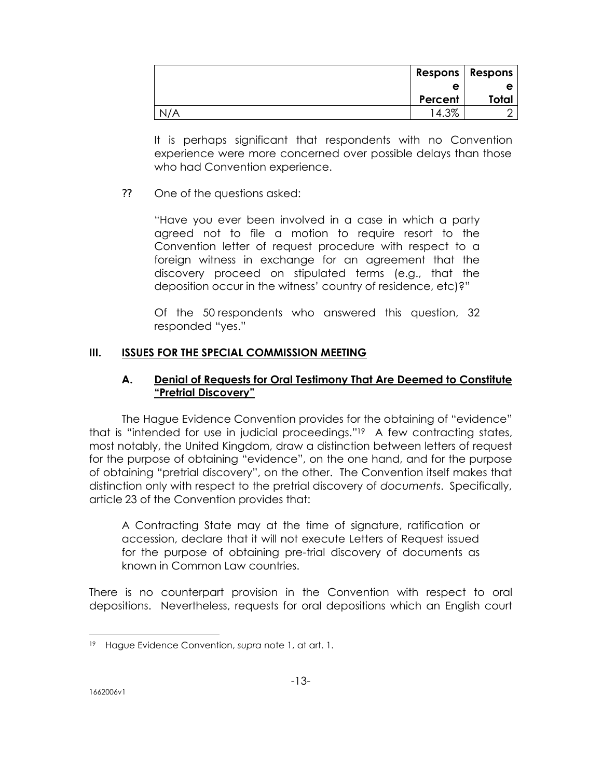|     | Respons   Respons |              |
|-----|-------------------|--------------|
|     | е                 | е            |
|     | Percent           | <b>Total</b> |
| N/A | 14.3%             |              |

It is perhaps significant that respondents with no Convention experience were more concerned over possible delays than those who had Convention experience.

## ?? One of the questions asked:

"Have you ever been involved in a case in which a party agreed not to file a motion to require resort to the Convention letter of request procedure with respect to a foreign witness in exchange for an agreement that the discovery proceed on stipulated terms (e.g., that the deposition occur in the witness' country of residence, etc)?"

Of the 50 respondents who answered this question, 32 responded "yes."

# **III. ISSUES FOR THE SPECIAL COMMISSION MEETING**

# **A. Denial of Requests for Oral Testimony That Are Deemed to Constitute "Pretrial Discovery"**

The Hague Evidence Convention provides for the obtaining of "evidence" that is "intended for use in judicial proceedings."19 A few contracting states, most notably, the United Kingdom, draw a distinction between letters of request for the purpose of obtaining "evidence", on the one hand, and for the purpose of obtaining "pretrial discovery", on the other. The Convention itself makes that distinction only with respect to the pretrial discovery of *documents*. Specifically, article 23 of the Convention provides that:

A Contracting State may at the time of signature, ratification or accession, declare that it will not execute Letters of Request issued for the purpose of obtaining pre-trial discovery of documents as known in Common Law countries.

There is no counterpart provision in the Convention with respect to oral depositions. Nevertheless, requests for oral depositions which an English court

<sup>-</sup><sup>19</sup> Hague Evidence Convention, *supra* note 1, at art. 1.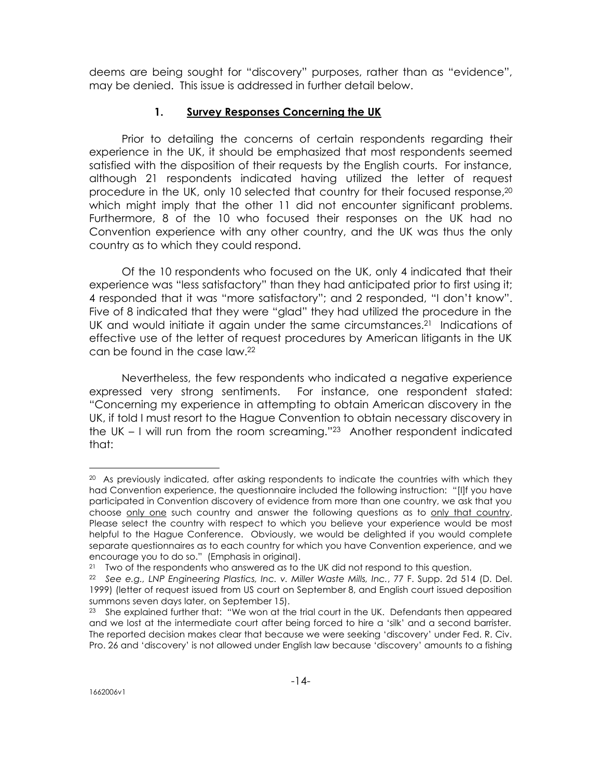deems are being sought for "discovery" purposes, rather than as "evidence", may be denied. This issue is addressed in further detail below.

# **1. Survey Responses Concerning the UK**

Prior to detailing the concerns of certain respondents regarding their experience in the UK, it should be emphasized that most respondents seemed satisfied with the disposition of their requests by the English courts. For instance, although 21 respondents indicated having utilized the letter of request procedure in the UK, only 10 selected that country for their focused response,<sup>20</sup> which might imply that the other 11 did not encounter significant problems. Furthermore, 8 of the 10 who focused their responses on the UK had no Convention experience with any other country, and the UK was thus the only country as to which they could respond.

Of the 10 respondents who focused on the UK, only 4 indicated that their experience was "less satisfactory" than they had anticipated prior to first using it; 4 responded that it was "more satisfactory"; and 2 responded, "I don't know". Five of 8 indicated that they were "glad" they had utilized the procedure in the UK and would initiate it again under the same circumstances.<sup>21</sup> Indications of effective use of the letter of request procedures by American litigants in the UK can be found in the case law.<sup>22</sup>

Nevertheless, the few respondents who indicated a negative experience expressed very strong sentiments. For instance, one respondent stated: "Concerning my experience in attempting to obtain American discovery in the UK, if told I must resort to the Hague Convention to obtain necessary discovery in the UK – I will run from the room screaming."23 Another respondent indicated that:

<sup>&</sup>lt;sup>20</sup> As previously indicated, after asking respondents to indicate the countries with which they had Convention experience, the questionnaire included the following instruction: "[I]f you have participated in Convention discovery of evidence from more than one country, we ask that you choose only one such country and answer the following questions as to only that country. Please select the country with respect to which you believe your experience would be most helpful to the Hague Conference. Obviously, we would be delighted if you would complete separate questionnaires as to each country for which you have Convention experience, and we encourage you to do so." (Emphasis in original).

<sup>&</sup>lt;sup>21</sup> Two of the respondents who answered as to the UK did not respond to this question.

<sup>22</sup> *See e.g., LNP Engineering Plastics, Inc. v. Miller Waste Mills, Inc.*, 77 F. Supp. 2d 514 (D. Del. 1999) (letter of request issued from US court on September 8, and English court issued deposition summons seven days later, on September 15).

<sup>&</sup>lt;sup>23</sup> She explained further that: "We won at the trial court in the UK. Defendants then appeared and we lost at the intermediate court after being forced to hire a 'silk' and a second barrister. The reported decision makes clear that because we were seeking 'discovery' under Fed. R. Civ. Pro. 26 and 'discovery' is not allowed under English law because 'discovery' amounts to a fishing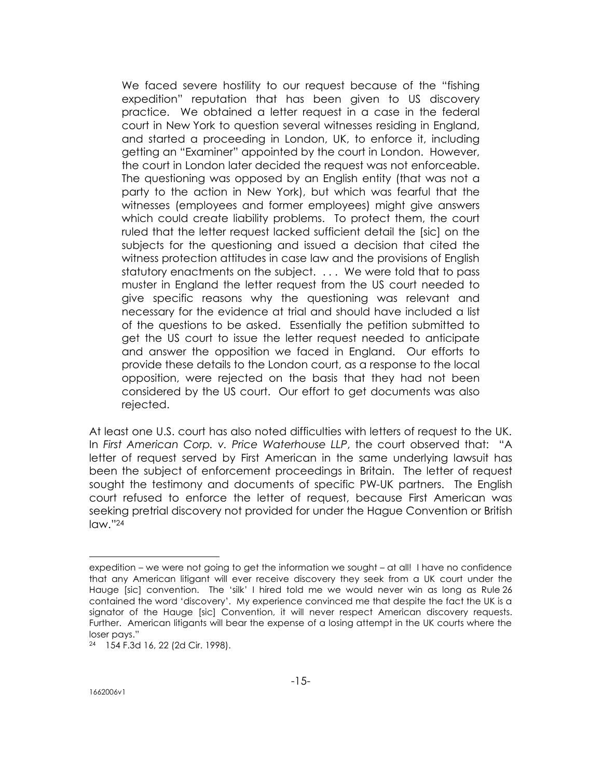We faced severe hostility to our request because of the "fishing expedition" reputation that has been given to US discovery practice. We obtained a letter request in a case in the federal court in New York to question several witnesses residing in England, and started a proceeding in London, UK, to enforce it, including getting an "Examiner" appointed by the court in London. However, the court in London later decided the request was not enforceable. The questioning was opposed by an English entity (that was not a party to the action in New York), but which was fearful that the witnesses (employees and former employees) might give answers which could create liability problems. To protect them, the court ruled that the letter request lacked sufficient detail the [sic] on the subjects for the questioning and issued a decision that cited the witness protection attitudes in case law and the provisions of English statutory enactments on the subject. . . . We were told that to pass muster in England the letter request from the US court needed to give specific reasons why the questioning was relevant and necessary for the evidence at trial and should have included a list of the questions to be asked. Essentially the petition submitted to get the US court to issue the letter request needed to anticipate and answer the opposition we faced in England. Our efforts to provide these details to the London court, as a response to the local opposition, were rejected on the basis that they had not been considered by the US court. Our effort to get documents was also rejected.

At least one U.S. court has also noted difficulties with letters of request to the UK. In *First American Corp. v. Price Waterhouse LLP*, the court observed that: "A letter of request served by First American in the same underlying lawsuit has been the subject of enforcement proceedings in Britain. The letter of request sought the testimony and documents of specific PW-UK partners. The English court refused to enforce the letter of request, because First American was seeking pretrial discovery not provided for under the Hague Convention or British law."<sup>24</sup>

expedition – we were not going to get the information we sought – at all! I have no confidence that any American litigant will ever receive discovery they seek from a UK court under the Hauge [sic] convention. The 'silk' I hired told me we would never win as long as Rule 26 contained the word 'discovery'. My experience convinced me that despite the fact the UK is a signator of the Hauge [sic] Convention, it will never respect American discovery requests. Further. American litigants will bear the expense of a losing attempt in the UK courts where the loser pays."

<sup>24</sup> 154 F.3d 16, 22 (2d Cir. 1998).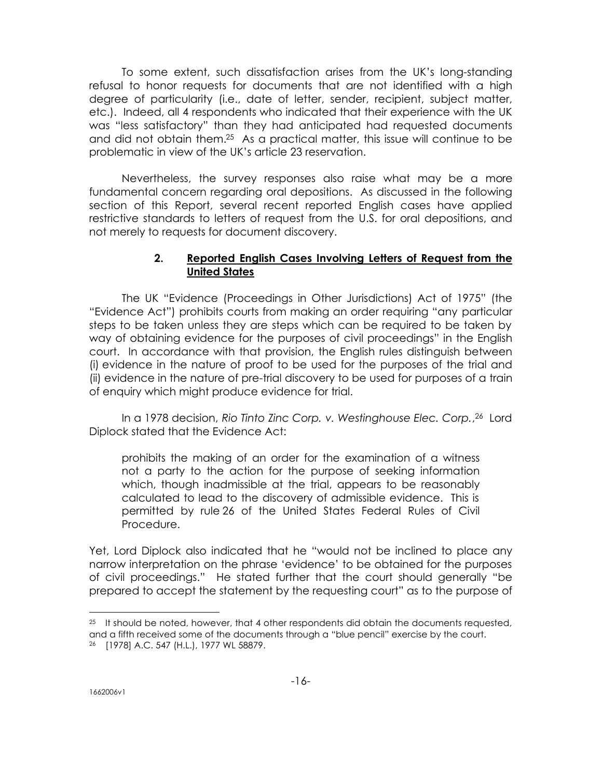To some extent, such dissatisfaction arises from the UK's long-standing refusal to honor requests for documents that are not identified with a high degree of particularity (i.e., date of letter, sender, recipient, subject matter, etc.). Indeed, all 4 respondents who indicated that their experience with the UK was "less satisfactory" than they had anticipated had requested documents and did not obtain them.25 As a practical matter, this issue will continue to be problematic in view of the UK's article 23 reservation.

Nevertheless, the survey responses also raise what may be a more fundamental concern regarding oral depositions. As discussed in the following section of this Report, several recent reported English cases have applied restrictive standards to letters of request from the U.S. for oral depositions, and not merely to requests for document discovery.

## **2. Reported English Cases Involving Letters of Request from the United States**

The UK "Evidence (Proceedings in Other Jurisdictions) Act of 1975" (the "Evidence Act") prohibits courts from making an order requiring "any particular steps to be taken unless they are steps which can be required to be taken by way of obtaining evidence for the purposes of civil proceedings" in the English court. In accordance with that provision, the English rules distinguish between (i) evidence in the nature of proof to be used for the purposes of the trial and (ii) evidence in the nature of pre-trial discovery to be used for purposes of a train of enquiry which might produce evidence for trial.

In a 1978 decision, *Rio Tinto Zinc Corp. v. Westinghouse Elec. Corp.*, <sup>26</sup> Lord Diplock stated that the Evidence Act:

prohibits the making of an order for the examination of a witness not a party to the action for the purpose of seeking information which, though inadmissible at the trial, appears to be reasonably calculated to lead to the discovery of admissible evidence. This is permitted by rule 26 of the United States Federal Rules of Civil Procedure.

Yet, Lord Diplock also indicated that he "would not be inclined to place any narrow interpretation on the phrase 'evidence' to be obtained for the purposes of civil proceedings." He stated further that the court should generally "be prepared to accept the statement by the requesting court" as to the purpose of

 $25$  It should be noted, however, that 4 other respondents did obtain the documents requested, and a fifth received some of the documents through a "blue pencil" exercise by the court. <sup>26</sup> [1978] A.C. 547 (H.L.), 1977 WL 58879.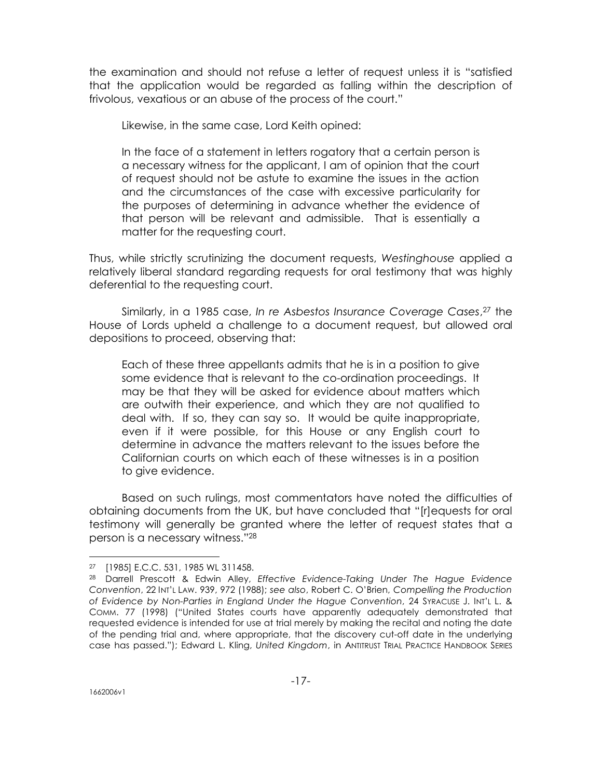the examination and should not refuse a letter of request unless it is "satisfied that the application would be regarded as falling within the description of frivolous, vexatious or an abuse of the process of the court."

Likewise, in the same case, Lord Keith opined:

In the face of a statement in letters rogatory that a certain person is a necessary witness for the applicant, I am of opinion that the court of request should not be astute to examine the issues in the action and the circumstances of the case with excessive particularity for the purposes of determining in advance whether the evidence of that person will be relevant and admissible. That is essentially a matter for the requesting court.

Thus, while strictly scrutinizing the document requests, *Westinghouse* applied a relatively liberal standard regarding requests for oral testimony that was highly deferential to the requesting court.

Similarly, in a 1985 case, *In re Asbestos Insurance Coverage Cases*, <sup>27</sup> the House of Lords upheld a challenge to a document request, but allowed oral depositions to proceed, observing that:

Each of these three appellants admits that he is in a position to give some evidence that is relevant to the co-ordination proceedings. It may be that they will be asked for evidence about matters which are outwith their experience, and which they are not qualified to deal with. If so, they can say so. It would be quite inappropriate, even if it were possible, for this House or any English court to determine in advance the matters relevant to the issues before the Californian courts on which each of these witnesses is in a position to give evidence.

Based on such rulings, most commentators have noted the difficulties of obtaining documents from the UK, but have concluded that "[r]equests for oral testimony will generally be granted where the letter of request states that a person is a necessary witness."<sup>28</sup>

<sup>27</sup> [1985] E.C.C. 531, 1985 WL 311458.

<sup>28</sup> Darrell Prescott & Edwin Alley, *Effective Evidence-Taking Under The Hague Evidence Convention*, 22 INT'L LAW. 939, 972 (1988); *see also*, Robert C. O'Brien, *Compelling the Production of Evidence by Non-Parties in England Under the Hague Convention*, 24 SYRACUSE J. INT'L L. & COMM. 77 (1998) ("United States courts have apparently adequately demonstrated that requested evidence is intended for use at trial merely by making the recital and noting the date of the pending trial and, where appropriate, that the discovery cut-off date in the underlying case has passed."); Edward L. Kling, *United Kingdom*, in ANTITRUST TRIAL PRACTICE HANDBOOK SERIES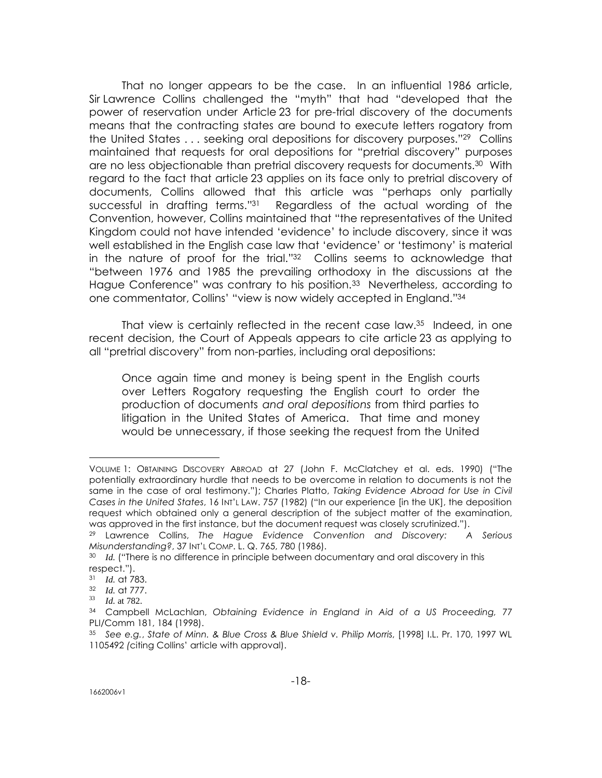That no longer appears to be the case. In an influential 1986 article, Sir Lawrence Collins challenged the "myth" that had "developed that the power of reservation under Article 23 for pre-trial discovery of the documents means that the contracting states are bound to execute letters rogatory from the United States . . . seeking oral depositions for discovery purposes."29 Collins maintained that requests for oral depositions for "pretrial discovery" purposes are no less objectionable than pretrial discovery requests for documents.30 With regard to the fact that article 23 applies on its face only to pretrial discovery of documents, Collins allowed that this article was "perhaps only partially successful in drafting terms."31 Regardless of the actual wording of the Convention, however, Collins maintained that "the representatives of the United Kingdom could not have intended 'evidence' to include discovery, since it was well established in the English case law that 'evidence' or 'testimony' is material in the nature of proof for the trial."32 Collins seems to acknowledge that "between 1976 and 1985 the prevailing orthodoxy in the discussions at the Hague Conference" was contrary to his position.<sup>33</sup> Nevertheless, according to one commentator, Collins' "view is now widely accepted in England."<sup>34</sup>

That view is certainly reflected in the recent case law.35 Indeed, in one recent decision, the Court of Appeals appears to cite article 23 as applying to all "pretrial discovery" from non-parties, including oral depositions:

Once again time and money is being spent in the English courts over Letters Rogatory requesting the English court to order the production of documents *and oral depositions* from third parties to litigation in the United States of America. That time and money would be unnecessary, if those seeking the request from the United

VOLUME 1: OBTAINING DISCOVERY ABROAD at 27 (John F. McClatchey et al. eds. 1990) ("The potentially extraordinary hurdle that needs to be overcome in relation to documents is not the same in the case of oral testimony."); Charles Platto, *Taking Evidence Abroad for Use in Civil Cases in the United States*, 16 INT'L LAW. 757 (1982) ("In our experience [in the UK], the deposition request which obtained only a general description of the subject matter of the examination, was approved in the first instance, but the document request was closely scrutinized.").

<sup>29</sup> Lawrence Collins, *The Hague Evidence Convention and Discovery: A Serious Misunderstanding?*, 37 INT'L COMP. L. Q. 765, 780 (1986).

<sup>30</sup> *Id.* ("There is no difference in principle between documentary and oral discovery in this respect.").

<sup>31</sup> *Id.* at 783.

<sup>32</sup> *Id.* at 777.

<sup>33</sup> *Id.* at 782.

<sup>34</sup> Campbell McLachlan, *Obtaining Evidence in England in Aid of a US Proceeding,* 77 PLI/Comm 181, 184 (1998).

<sup>35</sup> *See e.g.*, *State of Minn. & Blue Cross & Blue Shield v. Philip Morris*, [1998] I.L. Pr. 170, 1997 WL 1105492 *(*citing Collins' article with approval).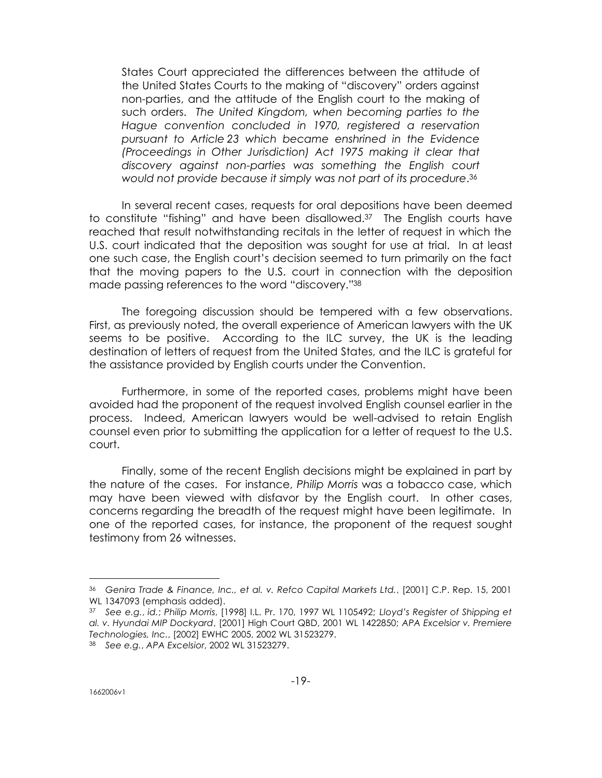States Court appreciated the differences between the attitude of the United States Courts to the making of "discovery" orders against non-parties, and the attitude of the English court to the making of such orders. *The United Kingdom, when becoming parties to the Hague convention concluded in 1970, registered a reservation pursuant to Article 23 which became enshrined in the Evidence (Proceedings in Other Jurisdiction) Act 1975 making it clear that discovery against non-parties was something the English court would not provide because it simply was not part of its procedure*. 36

In several recent cases, requests for oral depositions have been deemed to constitute "fishing" and have been disallowed.37 The English courts have reached that result notwithstanding recitals in the letter of request in which the U.S. court indicated that the deposition was sought for use at trial. In at least one such case, the English court's decision seemed to turn primarily on the fact that the moving papers to the U.S. court in connection with the deposition made passing references to the word "discovery."<sup>38</sup>

The foregoing discussion should be tempered with a few observations. First, as previously noted, the overall experience of American lawyers with the UK seems to be positive. According to the ILC survey, the UK is the leading destination of letters of request from the United States, and the ILC is grateful for the assistance provided by English courts under the Convention.

Furthermore, in some of the reported cases, problems might have been avoided had the proponent of the request involved English counsel earlier in the process. Indeed, American lawyers would be well-advised to retain English counsel even prior to submitting the application for a letter of request to the U.S. court.

Finally, some of the recent English decisions might be explained in part by the nature of the cases. For instance, *Philip Morris* was a tobacco case, which may have been viewed with disfavor by the English court. In other cases, concerns regarding the breadth of the request might have been legitimate. In one of the reported cases, for instance, the proponent of the request sought testimony from 26 witnesses.

<sup>36</sup> *Genira Trade & Finance, Inc., et al. v. Refco Capital Markets Ltd.*, [2001] C.P. Rep. 15, 2001 WL 1347093 (emphasis added).

<sup>37</sup> *See e.g.*, *id.*; *Philip Morris*, [1998] I.L. Pr. 170, 1997 WL 1105492; *Lloyd's Register of Shipping et al. v. Hyundai MIP Dockyard*, [2001] High Court QBD, 2001 WL 1422850; *APA Excelsior v. Premiere Technologies, Inc.*, [2002] EWHC 2005, 2002 WL 31523279.

<sup>38</sup> *See e.g.*, *APA Excelsior*, 2002 WL 31523279.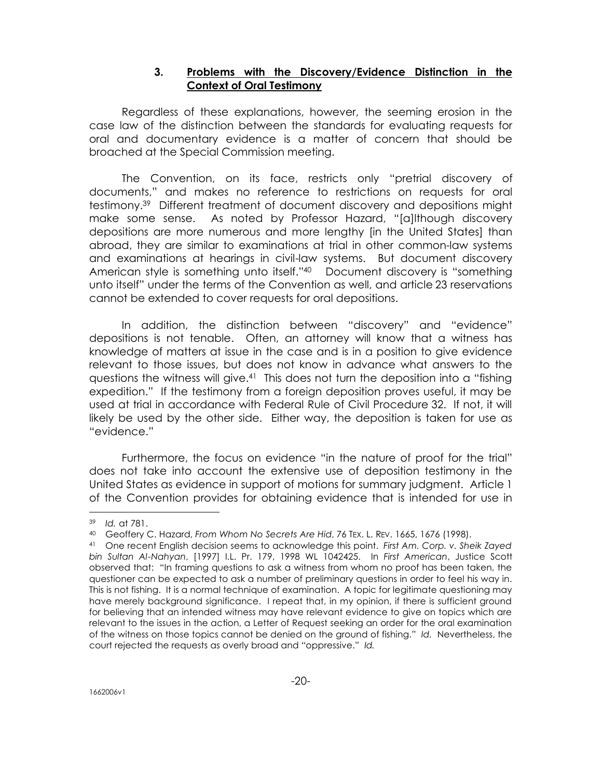## **3. Problems with the Discovery/Evidence Distinction in the Context of Oral Testimony**

Regardless of these explanations, however, the seeming erosion in the case law of the distinction between the standards for evaluating requests for oral and documentary evidence is a matter of concern that should be broached at the Special Commission meeting.

The Convention, on its face, restricts only "pretrial discovery of documents," and makes no reference to restrictions on requests for oral testimony.39 Different treatment of document discovery and depositions might make some sense. As noted by Professor Hazard, "[a]lthough discovery depositions are more numerous and more lengthy [in the United States] than abroad, they are similar to examinations at trial in other common-law systems and examinations at hearings in civil-law systems. But document discovery American style is something unto itself."40 Document discovery is "something unto itself" under the terms of the Convention as well, and article 23 reservations cannot be extended to cover requests for oral depositions.

In addition, the distinction between "discovery" and "evidence" depositions is not tenable. Often, an attorney will know that a witness has knowledge of matters at issue in the case and is in a position to give evidence relevant to those issues, but does not know in advance what answers to the questions the witness will give.41 This does not turn the deposition into a "fishing expedition." If the testimony from a foreign deposition proves useful, it may be used at trial in accordance with Federal Rule of Civil Procedure 32. If not, it will likely be used by the other side. Either way, the deposition is taken for use as "evidence."

Furthermore, the focus on evidence "in the nature of proof for the trial" does not take into account the extensive use of deposition testimony in the United States as evidence in support of motions for summary judgment. Article 1 of the Convention provides for obtaining evidence that is intended for use in

<sup>39</sup> *Id.* at 781.

<sup>40</sup> Geoffery C. Hazard, *From Whom No Secrets Are Hid*, 76 TEX. L. REV. 1665, 1676 (1998).

<sup>41</sup> One recent English decision seems to acknowledge this point. *First Am. Corp. v. Sheik Zayed bin Sultan Al-Nahyan*, [1997] I.L. Pr. 179, 1998 WL 1042425. In *First American*, Justice Scott observed that: "In framing questions to ask a witness from whom no proof has been taken, the questioner can be expected to ask a number of preliminary questions in order to feel his way in. This is not fishing. It is a normal technique of examination. A topic for legitimate questioning may have merely background significance. I repeat that, in my opinion, if there is sufficient ground for believing that an intended witness may have relevant evidence to give on topics which are relevant to the issues in the action, a Letter of Request seeking an order for the oral examination of the witness on those topics cannot be denied on the ground of fishing." *Id.* Nevertheless, the court rejected the requests as overly broad and "oppressive." *Id.*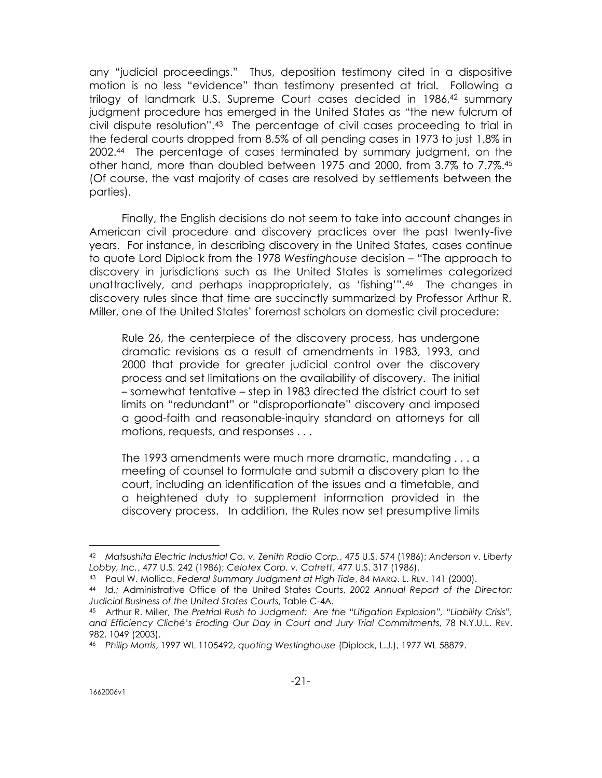any "judicial proceedings." Thus, deposition testimony cited in a dispositive motion is no less "evidence" than testimony presented at trial. Following a trilogy of landmark U.S. Supreme Court cases decided in 1986,42 summary judgment procedure has emerged in the United States as "the new fulcrum of civil dispute resolution".43 The percentage of civil cases proceeding to trial in the federal courts dropped from 8.5% of all pending cases in 1973 to just 1.8% in 2002.44 The percentage of cases terminated by summary judgment, on the other hand, more than doubled between 1975 and 2000, from 3.7% to 7.7%.<sup>45</sup> (Of course, the vast majority of cases are resolved by settlements between the parties).

Finally, the English decisions do not seem to take into account changes in American civil procedure and discovery practices over the past twenty-five years. For instance, in describing discovery in the United States, cases continue to quote Lord Diplock from the 1978 *Westinghouse* decision – "The approach to discovery in jurisdictions such as the United States is sometimes categorized unattractively, and perhaps inappropriately, as 'fishing'".<sup>46</sup> The changes in discovery rules since that time are succinctly summarized by Professor Arthur R. Miller, one of the United States' foremost scholars on domestic civil procedure:

Rule 26, the centerpiece of the discovery process, has undergone dramatic revisions as a result of amendments in 1983, 1993, and 2000 that provide for greater judicial control over the discovery process and set limitations on the availability of discovery. The initial – somewhat tentative – step in 1983 directed the district court to set limits on "redundant" or "disproportionate" discovery and imposed a good-faith and reasonable-inquiry standard on attorneys for all motions, requests, and responses . . .

The 1993 amendments were much more dramatic, mandating . . . a meeting of counsel to formulate and submit a discovery plan to the court, including an identification of the issues and a timetable, and a heightened duty to supplement information provided in the discovery process. In addition, the Rules now set presumptive limits

<sup>42</sup> *Matsushita Electric Industrial Co. v. Zenith Radio Corp.*, 475 U.S. 574 (1986); *Anderson v. Liberty Lobby, Inc.*, 477 U.S. 242 (1986); *Celotex Corp. v. Catrett*, 477 U.S. 317 (1986).

<sup>43</sup> Paul W. Mollica, *Federal Summary Judgment at High Tide*, 84 MARQ. L. REV. 141 (2000).

<sup>44</sup> *Id.;* Administrative Office of the United States Courts, *2002 Annual Report of the Director: Judicial Business of the United States Courts*, Table C-4A.

<sup>45</sup> Arthur R. Miller, *The Pretrial Rush to Judgment: Are the "Litigation Explosion", "Liability Crisis", and Efficiency Cliché's Eroding Our Day in Court and Jury Trial Commitments*, 78 N.Y.U.L. REV. 982, 1049 (2003).

<sup>46</sup> *Philip Morris*, 1997 WL 1105492, *quoting Westinghouse* (Diplock, L.J.), 1977 WL 58879.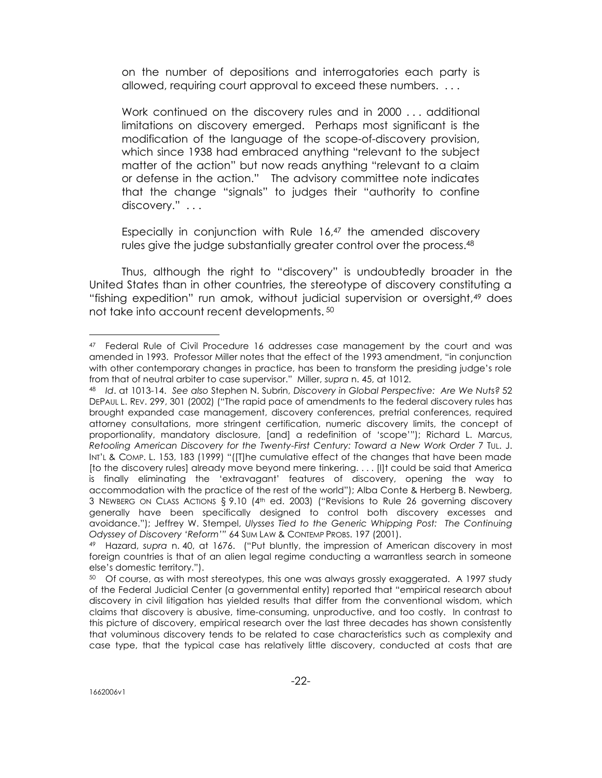on the number of depositions and interrogatories each party is allowed, requiring court approval to exceed these numbers. . . .

Work continued on the discovery rules and in 2000 . . . additional limitations on discovery emerged. Perhaps most significant is the modification of the language of the scope-of-discovery provision, which since 1938 had embraced anything "relevant to the subject matter of the action" but now reads anything "relevant to a claim or defense in the action." The advisory committee note indicates that the change "signals" to judges their "authority to confine discovery." ...

Especially in conjunction with Rule 16,<sup>47</sup> the amended discovery rules give the judge substantially greater control over the process.<sup>48</sup>

Thus, although the right to "discovery" is undoubtedly broader in the United States than in other countries, the stereotype of discovery constituting a "fishing expedition" run amok, without judicial supervision or oversight,49 does not take into account recent developments. <sup>50</sup>

<sup>47</sup> Federal Rule of Civil Procedure 16 addresses case management by the court and was amended in 1993. Professor Miller notes that the effect of the 1993 amendment, "in conjunction with other contemporary changes in practice, has been to transform the presiding judge's role from that of neutral arbiter to case supervisor." Miller, *supra* n. 45, at 1012.

<sup>48</sup> *Id*. at 1013-14. *See also* Stephen N. Subrin, *Discovery in Global Perspective: Are We Nuts?* 52 DEPAUL L. REV. 299, 301 (2002) ("The rapid pace of amendments to the federal discovery rules has brought expanded case management, discovery conferences, pretrial conferences, required attorney consultations, more stringent certification, numeric discovery limits, the concept of proportionality, mandatory disclosure, [and] a redefinition of 'scope'"); Richard L. Marcus, *Retooling American Discovery for the Twenty-First Century: Toward a New Work Order* 7 TUL. J. INT'L & COMP. L. 153, 183 (1999) "([T]he cumulative effect of the changes that have been made [to the discovery rules] already move beyond mere tinkering. . . . [I]t could be said that America is finally eliminating the 'extravagant' features of discovery, opening the way to accommodation with the practice of the rest of the world"); Alba Conte & Herberg B. Newberg, 3 NEWBERG ON CLASS ACTIONS  $\S$  9.10 (4<sup>th</sup> ed. 2003) ("Revisions to Rule 26 governing discovery generally have been specifically designed to control both discovery excesses and avoidance."); Jeffrey W. Stempel, *Ulysses Tied to the Generic Whipping Post: The Continuing Odyssey of Discovery 'Reform'"* 64 SUM LAW & CONTEMP PROBS. 197 (2001).

<sup>49</sup> Hazard, *supra* n. 40, at 1676. ("Put bluntly, the impression of American discovery in most foreign countries is that of an alien legal regime conducting a warrantless search in someone else's domestic territory.").

<sup>&</sup>lt;sup>50</sup> Of course, as with most stereotypes, this one was always grossly exaggerated. A 1997 study of the Federal Judicial Center (a governmental entity) reported that "empirical research about discovery in civil litigation has yielded results that differ from the conventional wisdom, which claims that discovery is abusive, time-consuming, unproductive, and too costly. In contrast to this picture of discovery, empirical research over the last three decades has shown consistently that voluminous discovery tends to be related to case characteristics such as complexity and case type, that the typical case has relatively little discovery, conducted at costs that are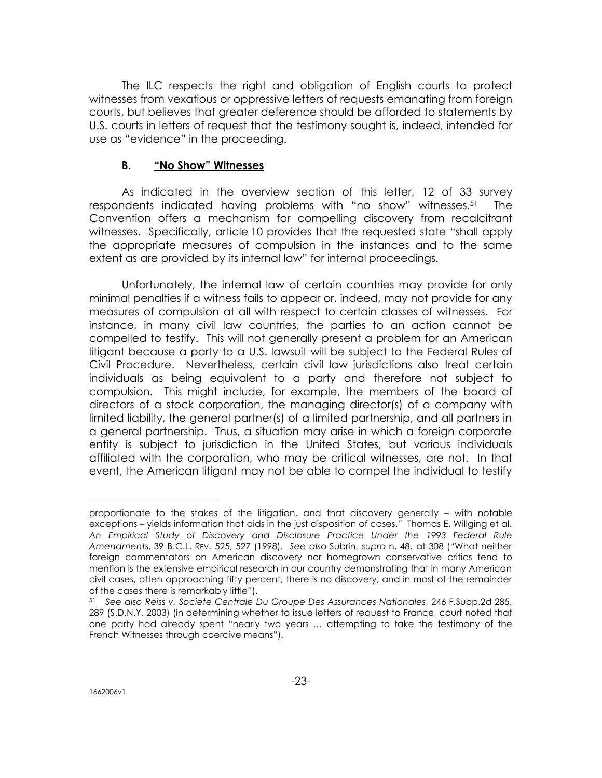The ILC respects the right and obligation of English courts to protect witnesses from vexatious or oppressive letters of requests emanating from foreign courts, but believes that greater deference should be afforded to statements by U.S. courts in letters of request that the testimony sought is, indeed, intended for use as "evidence" in the proceeding.

## **B. "No Show" Witnesses**

As indicated in the overview section of this letter, 12 of 33 survey respondents indicated having problems with "no show" witnesses.51 The Convention offers a mechanism for compelling discovery from recalcitrant witnesses. Specifically, article 10 provides that the requested state "shall apply the appropriate measures of compulsion in the instances and to the same extent as are provided by its internal law" for internal proceedings.

Unfortunately, the internal law of certain countries may provide for only minimal penalties if a witness fails to appear or, indeed, may not provide for any measures of compulsion at all with respect to certain classes of witnesses. For instance, in many civil law countries, the parties to an action cannot be compelled to testify. This will not generally present a problem for an American litigant because a party to a U.S. lawsuit will be subject to the Federal Rules of Civil Procedure. Nevertheless, certain civil law jurisdictions also treat certain individuals as being equivalent to a party and therefore not subject to compulsion. This might include, for example, the members of the board of directors of a stock corporation, the managing director(s) of a company with limited liability, the general partner(s) of a limited partnership, and all partners in a general partnership. Thus, a situation may arise in which a foreign corporate entity is subject to jurisdiction in the United States, but various individuals affiliated with the corporation, who may be critical witnesses, are not. In that event, the American litigant may not be able to compel the individual to testify

proportionate to the stakes of the litigation, and that discovery generally – with notable exceptions – yields information that aids in the just disposition of cases." Thomas E. Willging et al. *An Empirical Study of Discovery and Disclosure Practice Under the 1993 Federal Rule Amendments*, 39 B.C.L. REV*.* 525, 527 (1998). *See also* Subrin, *supra* n. 48, at 308 ("What neither foreign commentators on American discovery nor homegrown conservative critics tend to mention is the extensive empirical research in our country demonstrating that in many American civil cases, often approaching fifty percent, there is no discovery, and in most of the remainder of the cases there is remarkably little").

<sup>51</sup> *See also Reiss v. Societe Centrale Du Groupe Des Assurances Nationales*, 246 F.Supp.2d 285, 289 (S.D.N.Y. 2003) (in determining whether to issue letters of request to France, court noted that one party had already spent "nearly two years … attempting to take the testimony of the French Witnesses through coercive means").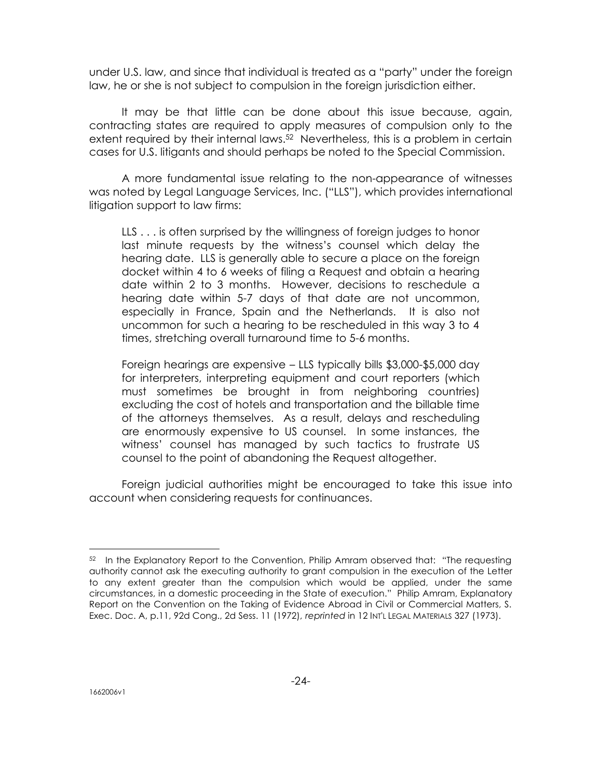under U.S. law, and since that individual is treated as a "party" under the foreign law, he or she is not subject to compulsion in the foreign jurisdiction either.

It may be that little can be done about this issue because, again, contracting states are required to apply measures of compulsion only to the extent required by their internal laws.<sup>52</sup> Nevertheless, this is a problem in certain cases for U.S. litigants and should perhaps be noted to the Special Commission.

A more fundamental issue relating to the non-appearance of witnesses was noted by Legal Language Services, Inc. ("LLS"), which provides international litigation support to law firms:

LLS . . . is often surprised by the willingness of foreign judges to honor last minute requests by the witness's counsel which delay the hearing date. LLS is generally able to secure a place on the foreign docket within 4 to 6 weeks of filing a Request and obtain a hearing date within 2 to 3 months. However, decisions to reschedule a hearing date within 5-7 days of that date are not uncommon, especially in France, Spain and the Netherlands. It is also not uncommon for such a hearing to be rescheduled in this way 3 to 4 times, stretching overall turnaround time to 5-6 months.

Foreign hearings are expensive – LLS typically bills \$3,000-\$5,000 day for interpreters, interpreting equipment and court reporters (which must sometimes be brought in from neighboring countries) excluding the cost of hotels and transportation and the billable time of the attorneys themselves. As a result, delays and rescheduling are enormously expensive to US counsel. In some instances, the witness' counsel has managed by such tactics to frustrate US counsel to the point of abandoning the Request altogether.

Foreign judicial authorities might be encouraged to take this issue into account when considering requests for continuances.

<sup>&</sup>lt;sup>52</sup> In the Explanatory Report to the Convention, Philip Amram observed that: "The requesting authority cannot ask the executing authority to grant compulsion in the execution of the Letter to any extent greater than the compulsion which would be applied, under the same circumstances, in a domestic proceeding in the State of execution." Philip Amram, Explanatory Report on the Convention on the Taking of Evidence Abroad in Civil or Commercial Matters, S. Exec. Doc. A, p.11, 92d Cong., 2d Sess. 11 (1972), *reprinted* in 12 INT'L LEGAL MATERIALS 327 (1973).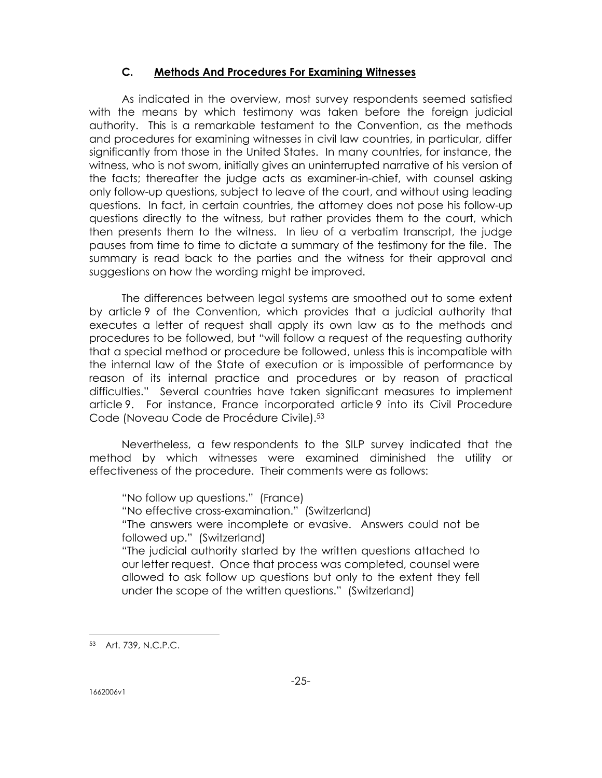# **C. Methods And Procedures For Examining Witnesses**

As indicated in the overview, most survey respondents seemed satisfied with the means by which testimony was taken before the foreign judicial authority. This is a remarkable testament to the Convention, as the methods and procedures for examining witnesses in civil law countries, in particular, differ significantly from those in the United States. In many countries, for instance, the witness, who is not sworn, initially gives an uninterrupted narrative of his version of the facts; thereafter the judge acts as examiner-in-chief, with counsel asking only follow-up questions, subject to leave of the court, and without using leading questions. In fact, in certain countries, the attorney does not pose his follow-up questions directly to the witness, but rather provides them to the court, which then presents them to the witness. In lieu of a verbatim transcript, the judge pauses from time to time to dictate a summary of the testimony for the file. The summary is read back to the parties and the witness for their approval and suggestions on how the wording might be improved.

The differences between legal systems are smoothed out to some extent by article 9 of the Convention, which provides that a judicial authority that executes a letter of request shall apply its own law as to the methods and procedures to be followed, but "will follow a request of the requesting authority that a special method or procedure be followed, unless this is incompatible with the internal law of the State of execution or is impossible of performance by reason of its internal practice and procedures or by reason of practical difficulties." Several countries have taken significant measures to implement article 9. For instance, France incorporated article 9 into its Civil Procedure Code (Noveau Code de Procédure Civile).<sup>53</sup>

Nevertheless, a few respondents to the SILP survey indicated that the method by which witnesses were examined diminished the utility or effectiveness of the procedure. Their comments were as follows:

"No follow up questions." (France) "No effective cross-examination." (Switzerland) "The answers were incomplete or evasive. Answers could not be followed up." (Switzerland) "The judicial authority started by the written questions attached to our letter request. Once that process was completed, counsel were allowed to ask follow up questions but only to the extent they fell under the scope of the written questions." (Switzerland)

<sup>53</sup> Art. 739, N.C.P.C.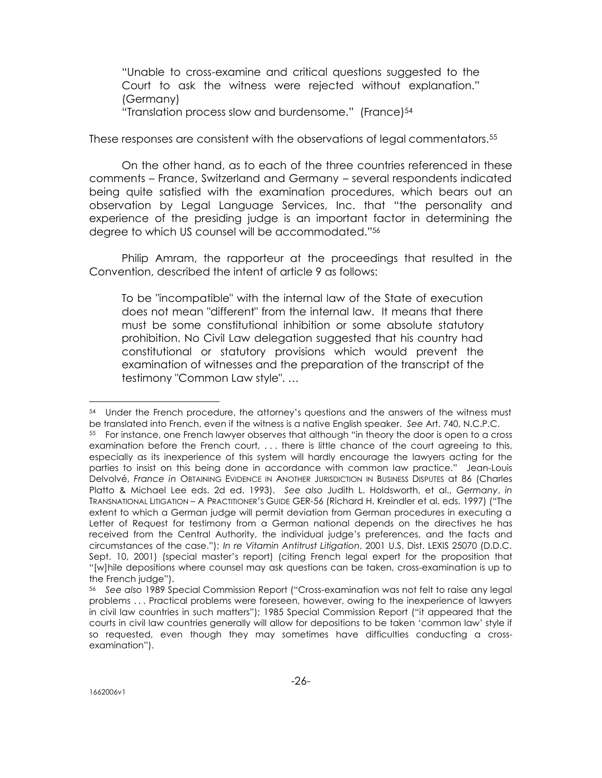"Unable to cross-examine and critical questions suggested to the Court to ask the witness were rejected without explanation." (Germany)

"Translation process slow and burdensome." (France)<sup>54</sup>

These responses are consistent with the observations of legal commentators.<sup>55</sup>

On the other hand, as to each of the three countries referenced in these comments – France, Switzerland and Germany – several respondents indicated being quite satisfied with the examination procedures, which bears out an observation by Legal Language Services, Inc. that "the personality and experience of the presiding judge is an important factor in determining the degree to which US counsel will be accommodated."<sup>56</sup>

Philip Amram, the rapporteur at the proceedings that resulted in the Convention, described the intent of article 9 as follows:

To be "incompatible" with the internal law of the State of execution does not mean "different" from the internal law. It means that there must be some constitutional inhibition or some absolute statutory prohibition. No Civil Law delegation suggested that his country had constitutional or statutory provisions which would prevent the examination of witnesses and the preparation of the transcript of the testimony "Common Law style". …

<sup>54</sup> Under the French procedure, the attorney's questions and the answers of the witness must be translated into French, even if the witness is a native English speaker. *See* Art. 740, N.C.P.C.

<sup>55</sup> For instance, one French lawyer observes that although "in theory the door is open to a cross examination before the French court, . . . there is little chance of the court agreeing to this, especially as its inexperience of this system will hardly encourage the lawyers acting for the parties to insist on this being done in accordance with common law practice." Jean-Louis Delvolvé, *France in* OBTAINING EVIDENCE IN ANOTHER JURISDICTION IN BUSINESS DISPUTES at 86 (Charles Platto & Michael Lee eds. 2d ed. 1993). *See also* Judith L. Holdsworth, et al., *Germany*, *in*  TRANSNATIONAL LITIGATION – A PRACTITIONER'S GUIDE GER-56 (Richard H. Kreindler et al. eds. 1997) ("The extent to which a German judge will permit deviation from German procedures in executing a Letter of Request for testimony from a German national depends on the directives he has received from the Central Authority, the individual judge's preferences, and the facts and circumstances of the case."); *In re Vitamin Antitrust Litigation*, 2001 U.S. Dist. LEXIS 25070 (D.D.C. Sept. 10, 2001) (special master's report) (citing French legal expert for the proposition that "[w]hile depositions where counsel may ask questions can be taken, cross-examination is up to the French judge").

<sup>56</sup> *See also* 1989 Special Commission Report ("Cross-examination was not felt to raise any legal problems . . . Practical problems were foreseen, however, owing to the inexperience of lawyers in civil law countries in such matters"); 1985 Special Commission Report ("it appeared that the courts in civil law countries generally will allow for depositions to be taken 'common law' style if so requested, even though they may sometimes have difficulties conducting a crossexamination").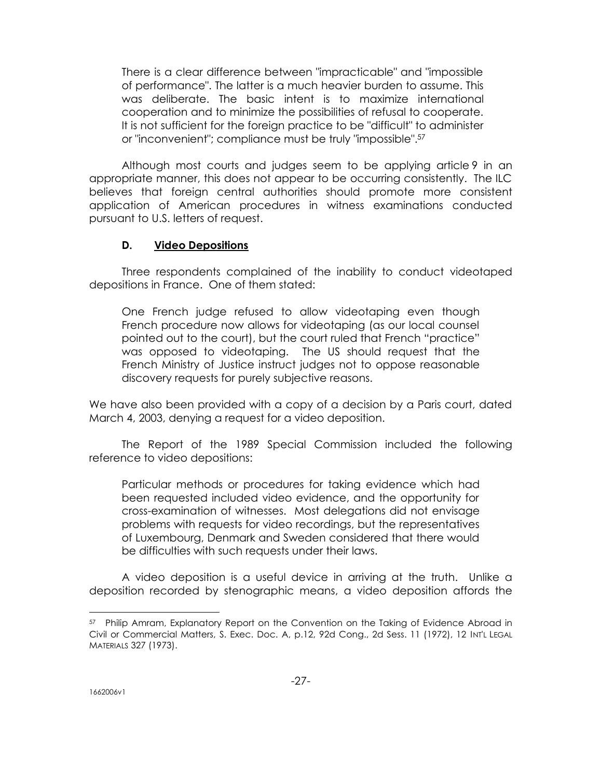There is a clear difference between "impracticable" and "impossible of performance". The latter is a much heavier burden to assume. This was deliberate. The basic intent is to maximize international cooperation and to minimize the possibilities of refusal to cooperate. It is not sufficient for the foreign practice to be "difficult" to administer or "inconvenient"; compliance must be truly "impossible".<sup>57</sup>

Although most courts and judges seem to be applying article 9 in an appropriate manner, this does not appear to be occurring consistently. The ILC believes that foreign central authorities should promote more consistent application of American procedures in witness examinations conducted pursuant to U.S. letters of request.

## **D. Video Depositions**

Three respondents complained of the inability to conduct videotaped depositions in France. One of them stated:

One French judge refused to allow videotaping even though French procedure now allows for videotaping (as our local counsel pointed out to the court), but the court ruled that French "practice" was opposed to videotaping. The US should request that the French Ministry of Justice instruct judges not to oppose reasonable discovery requests for purely subjective reasons.

We have also been provided with a copy of a decision by a Paris court, dated March 4, 2003, denying a request for a video deposition.

The Report of the 1989 Special Commission included the following reference to video depositions:

Particular methods or procedures for taking evidence which had been requested included video evidence, and the opportunity for cross-examination of witnesses. Most delegations did not envisage problems with requests for video recordings, but the representatives of Luxembourg, Denmark and Sweden considered that there would be difficulties with such requests under their laws.

A video deposition is a useful device in arriving at the truth. Unlike a deposition recorded by stenographic means, a video deposition affords the

<sup>57</sup> Philip Amram, Explanatory Report on the Convention on the Taking of Evidence Abroad in Civil or Commercial Matters, S. Exec. Doc. A, p.12, 92d Cong., 2d Sess. 11 (1972), 12 INT'L LEGAL MATERIALS 327 (1973).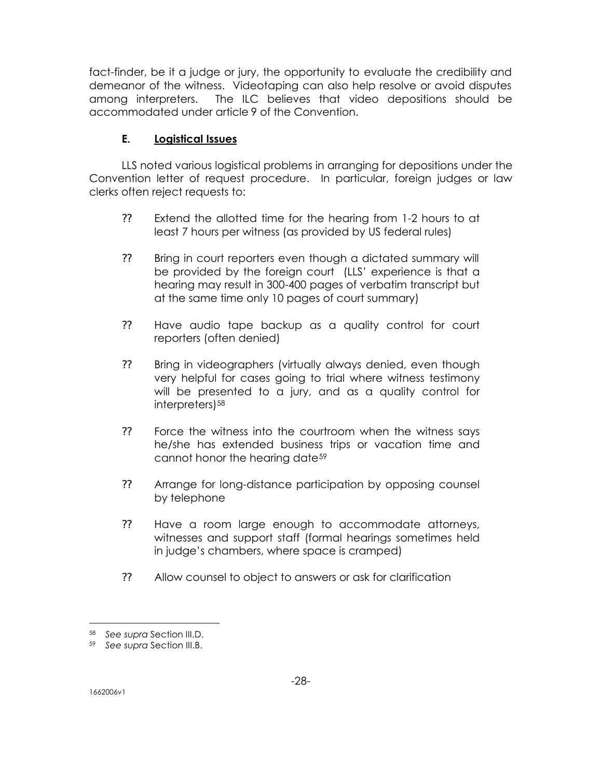fact-finder, be it a judge or jury, the opportunity to evaluate the credibility and demeanor of the witness. Videotaping can also help resolve or avoid disputes among interpreters. The ILC believes that video depositions should be accommodated under article 9 of the Convention.

# **E. Logistical Issues**

LLS noted various logistical problems in arranging for depositions under the Convention letter of request procedure. In particular, foreign judges or law clerks often reject requests to:

- ?? Extend the allotted time for the hearing from 1-2 hours to at least 7 hours per witness (as provided by US federal rules)
- ?? Bring in court reporters even though a dictated summary will be provided by the foreign court (LLS' experience is that a hearing may result in 300-400 pages of verbatim transcript but at the same time only 10 pages of court summary)
- ?? Have audio tape backup as a quality control for court reporters (often denied)
- ?? Bring in videographers (virtually always denied, even though very helpful for cases going to trial where witness testimony will be presented to a jury, and as a quality control for interpreters)<sup>58</sup>
- ?? Force the witness into the courtroom when the witness says he/she has extended business trips or vacation time and cannot honor the hearing date<sup>59</sup>
- ?? Arrange for long-distance participation by opposing counsel by telephone
- ?? Have a room large enough to accommodate attorneys, witnesses and support staff (formal hearings sometimes held in judge's chambers, where space is cramped)
- ?? Allow counsel to object to answers or ask for clarification

<sup>58</sup> *See supra* Section III.D.

<sup>59</sup> *See supra* Section III.B.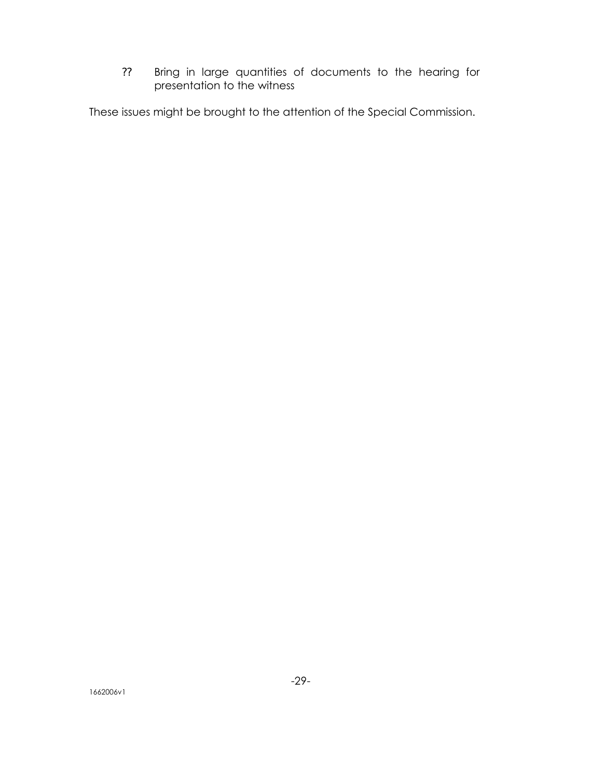?? Bring in large quantities of documents to the hearing for presentation to the witness

These issues might be brought to the attention of the Special Commission.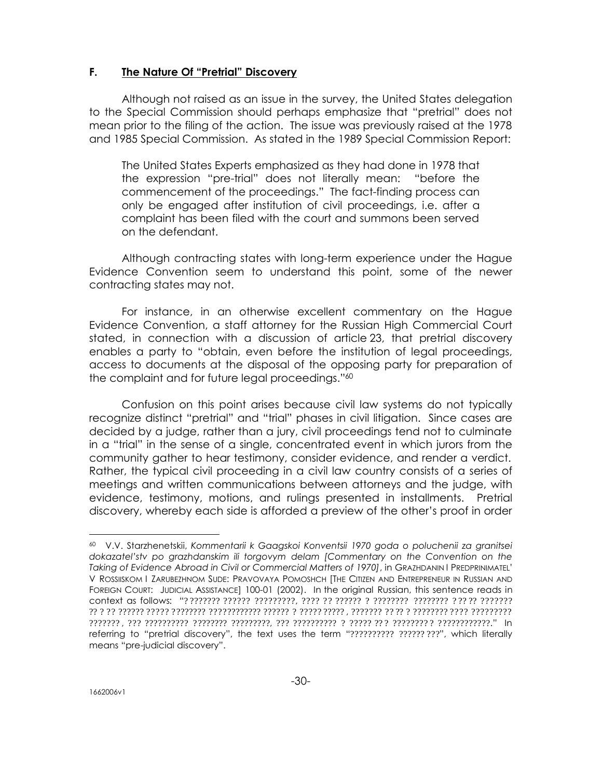## **F. The Nature Of "Pretrial" Discovery**

Although not raised as an issue in the survey, the United States delegation to the Special Commission should perhaps emphasize that "pretrial" does not mean prior to the filing of the action. The issue was previously raised at the 1978 and 1985 Special Commission. As stated in the 1989 Special Commission Report:

The United States Experts emphasized as they had done in 1978 that the expression "pre-trial" does not literally mean: "before the commencement of the proceedings." The fact-finding process can only be engaged after institution of civil proceedings, i.e. after a complaint has been filed with the court and summons been served on the defendant.

Although contracting states with long-term experience under the Hague Evidence Convention seem to understand this point, some of the newer contracting states may not.

For instance, in an otherwise excellent commentary on the Hague Evidence Convention, a staff attorney for the Russian High Commercial Court stated, in connection with a discussion of article 23, that pretrial discovery enables a party to "obtain, even before the institution of legal proceedings, access to documents at the disposal of the opposing party for preparation of the complaint and for future legal proceedings."<sup>60</sup>

Confusion on this point arises because civil law systems do not typically recognize distinct "pretrial" and "trial" phases in civil litigation. Since cases are decided by a judge, rather than a jury, civil proceedings tend not to culminate in a "trial" in the sense of a single, concentrated event in which jurors from the community gather to hear testimony, consider evidence, and render a verdict. Rather, the typical civil proceeding in a civil law country consists of a series of meetings and written communications between attorneys and the judge, with evidence, testimony, motions, and rulings presented in installments. Pretrial discovery, whereby each side is afforded a preview of the other's proof in order

<sup>60</sup> V.V. Starzhenetskii, *Kommentarii k Gaagskoi Konventsii 1970 goda o poluchenii za granitsei dokazatel'stv po grazhdanskim ili torgovym delam [Commentary on the Convention on the Taking of Evidence Abroad in Civil or Commercial Matters of 1970]*, in GRAZHDANIN I PREDPRINIMATEL' V ROSSIISKOM I ZARUBEZHNOM SUDE: PRAVOVAYA POMOSHCH [THE CITIZEN AND ENTREPRENEUR IN RUSSIAN AND FOREIGN COURT: JUDICIAL ASSISTANCE] 100-01 (2002). In the original Russian, this sentence reads in context as follows: "? ??????? ?????? ?????????, ???? ?? ?????? ? ???????? ???????? ? ?? ?? ??????? ?? ? ?? ?????? ????? ???????? ???????????? ?????? ? ????? ????? , ??????? ?? ?? ? ???????? ???? ????????? ??????? , ??? ?????????? ???????? ?????????, ??? ?????????? ? ????? ?? ? ???????? ? ????????????." In referring to "pretrial discovery", the text uses the term "?????????? ??????????, which literally means "pre-judicial discovery".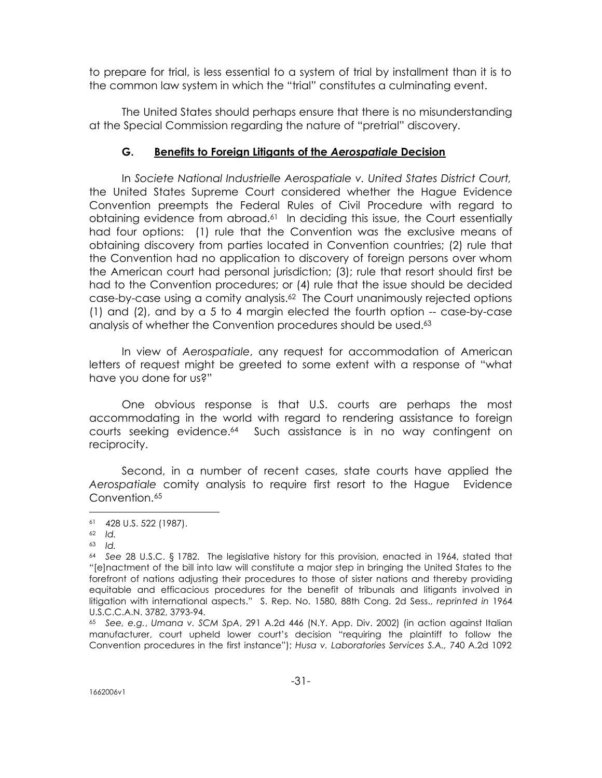to prepare for trial, is less essential to a system of trial by installment than it is to the common law system in which the "trial" constitutes a culminating event.

The United States should perhaps ensure that there is no misunderstanding at the Special Commission regarding the nature of "pretrial" discovery.

# **G. Benefits to Foreign Litigants of the** *Aerospatiale* **Decision**

In *Societe National Industrielle Aerospatiale v. United States District Court,*  the United States Supreme Court considered whether the Hague Evidence Convention preempts the Federal Rules of Civil Procedure with regard to obtaining evidence from abroad.61 In deciding this issue, the Court essentially had four options: (1) rule that the Convention was the exclusive means of obtaining discovery from parties located in Convention countries; (2) rule that the Convention had no application to discovery of foreign persons over whom the American court had personal jurisdiction; (3); rule that resort should first be had to the Convention procedures; or (4) rule that the issue should be decided case-by-case using a comity analysis.62 The Court unanimously rejected options (1) and (2), and by a 5 to 4 margin elected the fourth option -- case-by-case analysis of whether the Convention procedures should be used.<sup>63</sup>

In view of *Aerospatiale*, any request for accommodation of American letters of request might be greeted to some extent with a response of "what have you done for us?"

One obvious response is that U.S. courts are perhaps the most accommodating in the world with regard to rendering assistance to foreign courts seeking evidence.64 Such assistance is in no way contingent on reciprocity.

Second, in a number of recent cases, state courts have applied the *Aerospatiale* comity analysis to require first resort to the Hague Evidence Convention.<sup>65</sup>

<sup>61</sup> 428 U.S. 522 (1987).

<sup>62</sup> *Id.*

<sup>63</sup> *Id.*

<sup>64</sup> *See* 28 U.S.C. § 1782. The legislative history for this provision, enacted in 1964, stated that "[e]nactment of the bill into law will constitute a major step in bringing the United States to the forefront of nations adjusting their procedures to those of sister nations and thereby providing equitable and efficacious procedures for the benefit of tribunals and litigants involved in litigation with international aspects." S. Rep. No. 1580, 88th Cong. 2d Sess., *reprinted in* 1964 U.S.C.C.A.N. 3782, 3793-94.

<sup>65</sup> *See, e.g.*, *Umana v. SCM SpA*, 291 A.2d 446 (N.Y. App. Div. 2002) (in action against Italian manufacturer, court upheld lower court's decision "requiring the plaintiff to follow the Convention procedures in the first instance"); *Husa v. Laboratories Services S.A.,* 740 A.2d 1092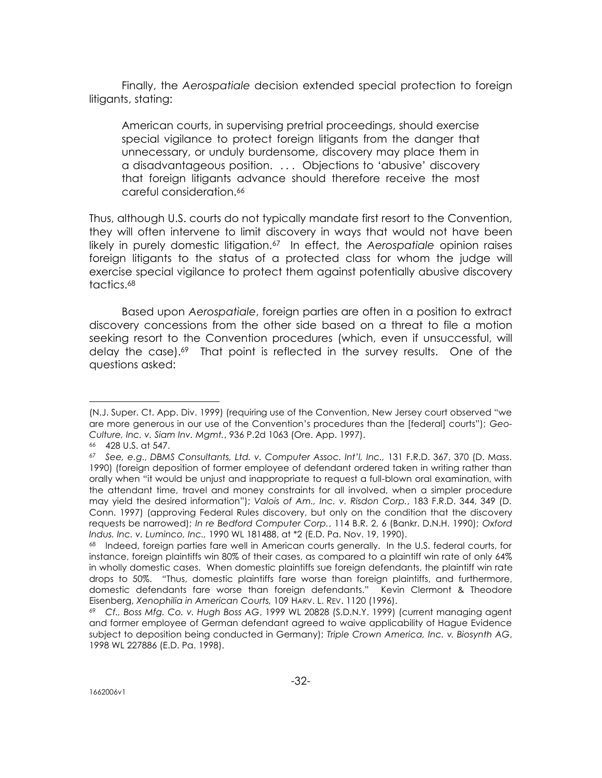Finally, the *Aerospatiale* decision extended special protection to foreign litigants, stating:

American courts, in supervising pretrial proceedings, should exercise special vigilance to protect foreign litigants from the danger that unnecessary, or unduly burdensome, discovery may place them in a disadvantageous position. . . . Objections to 'abusive' discovery that foreign litigants advance should therefore receive the most careful consideration.<sup>66</sup>

Thus, although U.S. courts do not typically mandate first resort to the Convention, they will often intervene to limit discovery in ways that would not have been likely in purely domestic litigation.67 In effect, the *Aerospatiale* opinion raises foreign litigants to the status of a protected class for whom the judge will exercise special vigilance to protect them against potentially abusive discovery tactics.<sup>68</sup>

Based upon *Aerospatiale*, foreign parties are often in a position to extract discovery concessions from the other side based on a threat to file a motion seeking resort to the Convention procedures (which, even if unsuccessful, will delay the case).<sup>69</sup> That point is reflected in the survey results. One of the questions asked:

<sup>(</sup>N.J. Super. Ct. App. Div. 1999) (requiring use of the Convention, New Jersey court observed "we are more generous in our use of the Convention's procedures than the [federal] courts"); *Geo-Culture, Inc. v. Siam Inv. Mgmt.*, 936 P.2d 1063 (Ore. App. 1997).

<sup>66</sup> 428 U.S. at 547.

<sup>67</sup> *See, e.g*., *DBMS Consultants, Ltd. v. Computer Assoc. Int'l, Inc.,* 131 F.R.D. 367, 370 (D. Mass. 1990) (foreign deposition of former employee of defendant ordered taken in writing rather than orally when "it would be unjust and inappropriate to request a full-blown oral examination, with the attendant time, travel and money constraints for all involved, when a simpler procedure may yield the desired information"); *Valois of Am., Inc. v. Risdon Corp.*, 183 F.R.D. 344, 349 (D. Conn. 1997) (approving Federal Rules discovery, but only on the condition that the discovery requests be narrowed); *In re Bedford Computer Corp.*, 114 B.R. 2, 6 (Bankr. D.N.H. 1990); *Oxford Indus. Inc. v. Luminco, Inc.,* 1990 WL 181488, at \*2 (E.D. Pa. Nov. 19, 1990).

<sup>68</sup> Indeed, foreign parties fare well in American courts generally. In the U.S. federal courts, for instance, foreign plaintiffs win 80% of their cases, as compared to a plaintiff win rate of only 64% in wholly domestic cases. When domestic plaintiffs sue foreign defendants, the plaintiff win rate drops to 50%. "Thus, domestic plaintiffs fare worse than foreign plaintiffs, and furthermore, domestic defendants fare worse than foreign defendants." Kevin Clermont & Theodore Eisenberg, *Xenophilia in American Courts,* 109 HARV. L. REV. 1120 (1996).

<sup>69</sup> *Cf., Boss Mfg. Co. v. Hugh Boss AG*, 1999 WL 20828 (S.D.N.Y. 1999) (current managing agent and former employee of German defendant agreed to waive applicability of Hague Evidence subject to deposition being conducted in Germany); *Triple Crown America, Inc. v. Biosynth AG*, 1998 WL 227886 (E.D. Pa. 1998).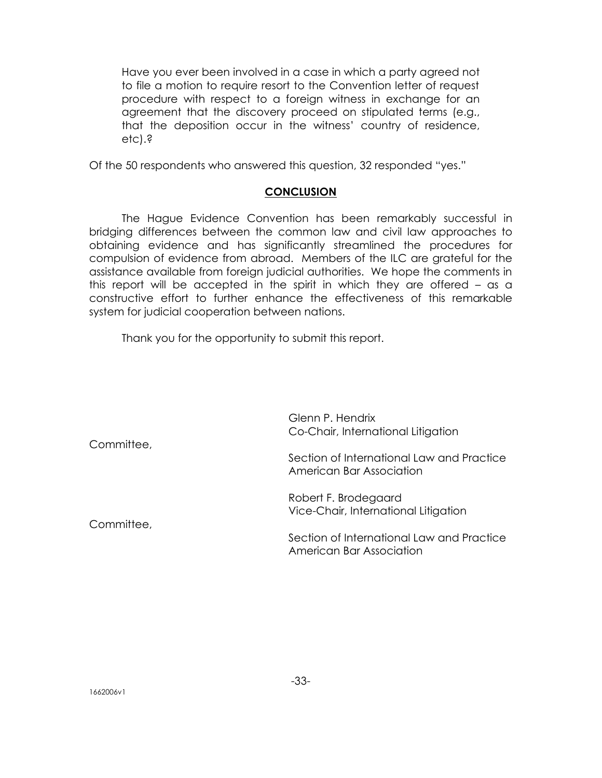Have you ever been involved in a case in which a party agreed not to file a motion to require resort to the Convention letter of request procedure with respect to a foreign witness in exchange for an agreement that the discovery proceed on stipulated terms (e.g., that the deposition occur in the witness' country of residence, etc).?

Of the 50 respondents who answered this question, 32 responded "yes."

#### **CONCLUSION**

The Hague Evidence Convention has been remarkably successful in bridging differences between the common law and civil law approaches to obtaining evidence and has significantly streamlined the procedures for compulsion of evidence from abroad. Members of the ILC are grateful for the assistance available from foreign judicial authorities. We hope the comments in this report will be accepted in the spirit in which they are offered – as a constructive effort to further enhance the effectiveness of this remarkable system for judicial cooperation between nations.

Thank you for the opportunity to submit this report.

Glenn P. Hendrix Co-Chair, International Litigation Committee, Section of International Law and Practice American Bar Association Robert F. Brodegaard Vice-Chair, International Litigation Committee, Section of International Law and Practice American Bar Association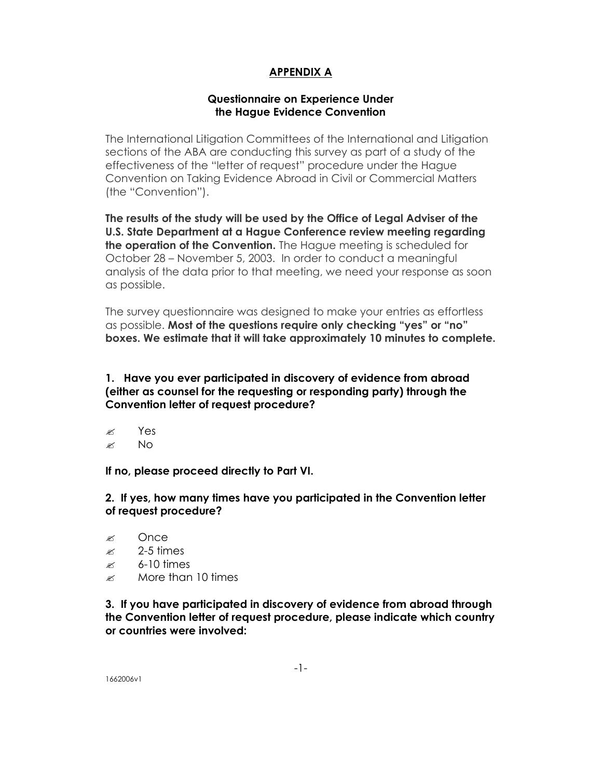# **APPENDIX A**

## **Questionnaire on Experience Under the Hague Evidence Convention**

The International Litigation Committees of the International and Litigation sections of the ABA are conducting this survey as part of a study of the effectiveness of the "letter of request" procedure under the Hague Convention on Taking Evidence Abroad in Civil or Commercial Matters (the "Convention").

**The results of the study will be used by the Office of Legal Adviser of the U.S. State Department at a Hague Conference review meeting regarding the operation of the Convention.** The Hague meeting is scheduled for October 28 – November 5, 2003. In order to conduct a meaningful analysis of the data prior to that meeting, we need your response as soon as possible.

The survey questionnaire was designed to make your entries as effortless as possible. **Most of the questions require only checking "yes" or "no" boxes. We estimate that it will take approximately 10 minutes to complete.**

**1. Have you ever participated in discovery of evidence from abroad (either as counsel for the requesting or responding party) through the Convention letter of request procedure?**

- $\approx$  Yes
- $\approx$  No

**If no, please proceed directly to Part VI.**

**2. If yes, how many times have you participated in the Convention letter of request procedure?**

- ? Once
- $\approx$  2-5 times
- $\approx$  6-10 times
- $\approx$  More than 10 times

**3. If you have participated in discovery of evidence from abroad through the Convention letter of request procedure, please indicate which country or countries were involved:**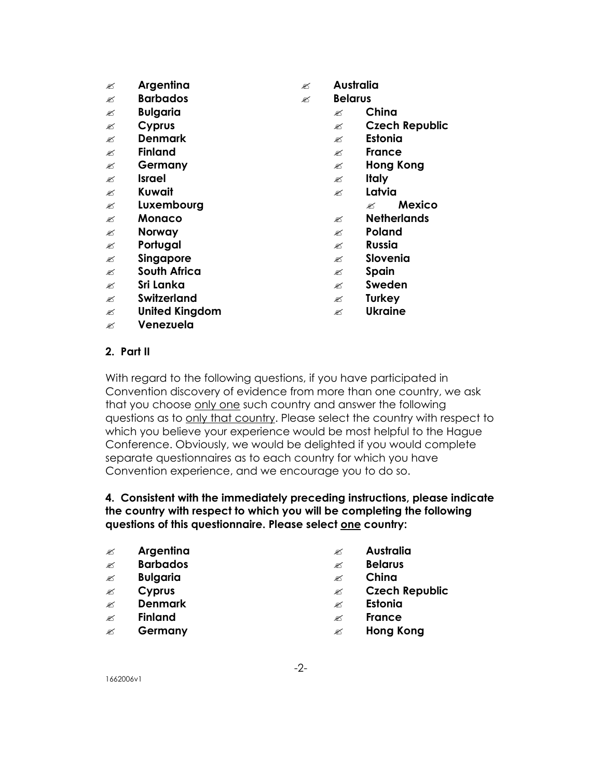- ? **Argentina** ? **Australia**
- ? **Barbados** ? **Belarus**
- ? **Bulgaria** ? **China**
- 
- ? **Denmark** ? **Estonia**
- ? **Finland** ? **France**
- 
- 
- ? **Kuwait** ? **Latvia**
- ? **Luxembourg** ? **Mexico**
- ? **Monaco** ? **Netherlands**
- $\mathscr{L}$  **Norway 2008 Norway 2008 Norway**
- ? **Portugal** ? **Russia**
- *E* **Singapore Proportional Proportion**
- ? **South Africa** ? **Spain**
- ? **Sri Lanka** ? **Sweden**
- ? **Switzerland** ? **Turkey**
- ? **United Kingdom** ? **Ukraine**
- ? **Venezuela**
- 
- -
- ? **Cyprus** ? **Czech Republic**
	-
	-
- ? **Germany** ? **Hong Kong**
- ? **Israel** ? **Italy**
	-
	-
	-
	-
	-
	-
	-
	-
	-
	-

## **2. Part II**

With regard to the following questions, if you have participated in Convention discovery of evidence from more than one country, we ask that you choose only one such country and answer the following questions as to only that country. Please select the country with respect to which you believe your experience would be most helpful to the Hague Conference. Obviously, we would be delighted if you would complete separate questionnaires as to each country for which you have Convention experience, and we encourage you to do so.

# **4. Consistent with the immediately preceding instructions, please indicate the country with respect to which you will be completing the following questions of this questionnaire. Please select one country:**

- ? **Argentina** ? **Australia**
- ? **Barbados** ? **Belarus**
- ? **Bulgaria** ? **China**
- 
- ? **Denmark** ? **Estonia**
- ? **Finland** ? **France**
- 
- 
- 
- 
- ? **Cyprus** ? **Czech Republic**
	-
	-
- ? **Germany** ? **Hong Kong**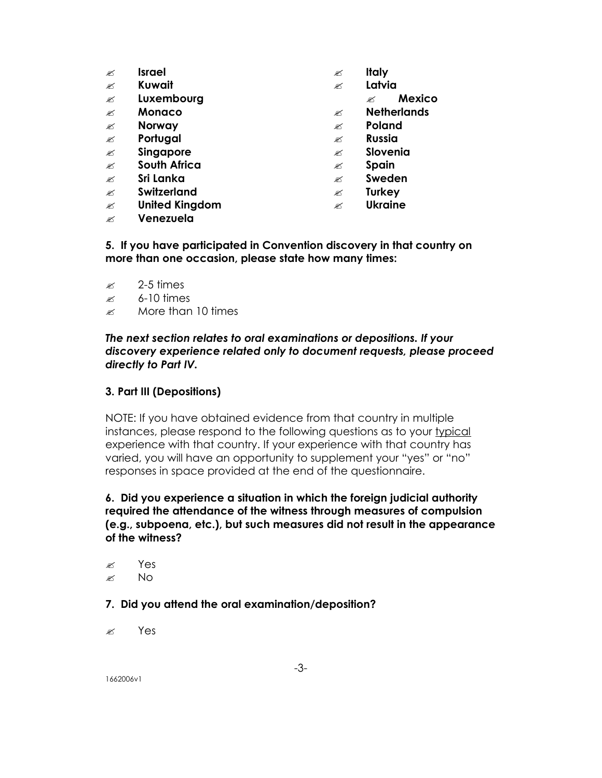- ? **Israel** ? **Italy**
- ? **Kuwait** ? **Latvia**
- ? **Luxembourg** ? **Mexico**
- 
- ? **Norway** ? **Poland**
- 
- 
- ? **South Africa** ? **Spain**
- 
- ? **Switzerland** ? **Turkey**
- ? **United Kingdom** ? **Ukraine**
- ? **Venezuela**
- 
- -
- ? **Monaco** ? **Netherlands**
	-
- ? **Portugal** ? **Russia**
- *E* **Singapore Proportional Proportional Proportional Proportional Proportional Proportional Proportional Proportional Proportional Proportional Proportional Proportional Proportional Proportional Proportional Proporti** 
	-
- ? **Sri Lanka** ? **Sweden**
	-
	-

**5. If you have participated in Convention discovery in that country on more than one occasion, please state how many times:**

- $\approx$  2-5 times
- $\approx$  6-10 times
- $\approx$  More than 10 times

## *The next section relates to oral examinations or depositions. If your discovery experience related only to document requests, please proceed directly to Part IV.*

## **3. Part III (Depositions)**

NOTE: If you have obtained evidence from that country in multiple instances, please respond to the following questions as to your typical experience with that country. If your experience with that country has varied, you will have an opportunity to supplement your "yes" or "no" responses in space provided at the end of the questionnaire.

# **6. Did you experience a situation in which the foreign judicial authority required the attendance of the witness through measures of compulsion (e.g., subpoena, etc.), but such measures did not result in the appearance of the witness?**

- ? Yes
- $\mathscr{L}$  No

## **7. Did you attend the oral examination/deposition?**

? Yes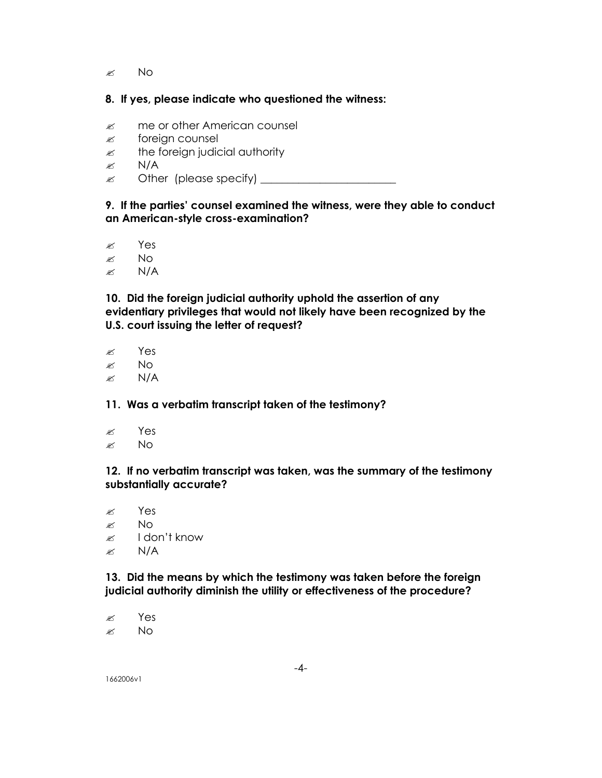$\approx$  No

## **8. If yes, please indicate who questioned the witness:**

- $\mathscr{E}$  me or other American counsel
- $\mathscr{\mathscr{E}}$  foreign counsel
- $\mathscr{L}$  the foreign judicial authority
- $\approx$  N/A
- ? Other (please specify) \_\_\_\_\_\_\_\_\_\_\_\_\_\_\_\_\_\_\_\_\_\_\_\_\_

## **9. If the parties' counsel examined the witness, were they able to conduct an American-style cross-examination?**

- ? Yes
- $\approx$  No
- $\approx$  N/A

**10. Did the foreign judicial authority uphold the assertion of any evidentiary privileges that would not likely have been recognized by the U.S. court issuing the letter of request?**

- ? Yes
- $\approx$  No
- $\mathbb{Z}$  N/A

## **11. Was a verbatim transcript taken of the testimony?**

- $\approx$  Yes
- $\approx$  No

## **12. If no verbatim transcript was taken, was the summary of the testimony substantially accurate?**

 $\approx$  Yes  $\approx$  No  $\approx$  I don't know  $\mathscr{\mathscr{L}}$  N/A

**13. Did the means by which the testimony was taken before the foreign judicial authority diminish the utility or effectiveness of the procedure?**

? Yes  $\approx$  No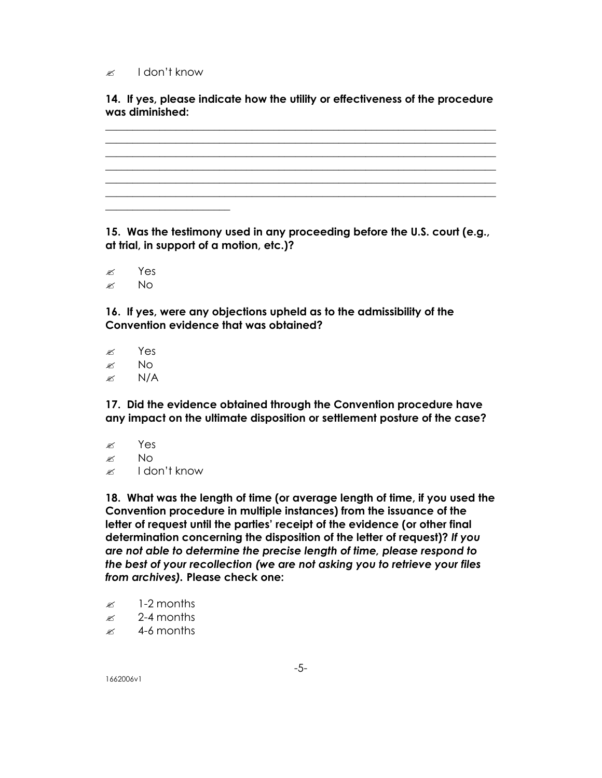#### $\approx$  I don't know

**14. If yes, please indicate how the utility or effectiveness of the procedure was diminished:** 

**\_\_\_\_\_\_\_\_\_\_\_\_\_\_\_\_\_\_\_\_\_\_\_\_\_\_\_\_\_\_\_\_\_\_\_\_\_\_\_\_\_\_\_\_\_\_\_\_\_\_\_\_\_\_\_\_\_\_\_\_\_\_\_\_\_\_\_\_\_\_\_\_ \_\_\_\_\_\_\_\_\_\_\_\_\_\_\_\_\_\_\_\_\_\_\_\_\_\_\_\_\_\_\_\_\_\_\_\_\_\_\_\_\_\_\_\_\_\_\_\_\_\_\_\_\_\_\_\_\_\_\_\_\_\_\_\_\_\_\_\_\_\_\_\_ \_\_\_\_\_\_\_\_\_\_\_\_\_\_\_\_\_\_\_\_\_\_\_\_\_\_\_\_\_\_\_\_\_\_\_\_\_\_\_\_\_\_\_\_\_\_\_\_\_\_\_\_\_\_\_\_\_\_\_\_\_\_\_\_\_\_\_\_\_\_\_\_ \_\_\_\_\_\_\_\_\_\_\_\_\_\_\_\_\_\_\_\_\_\_\_\_\_\_\_\_\_\_\_\_\_\_\_\_\_\_\_\_\_\_\_\_\_\_\_\_\_\_\_\_\_\_\_\_\_\_\_\_\_\_\_\_\_\_\_\_\_\_\_\_ \_\_\_\_\_\_\_\_\_\_\_\_\_\_\_\_\_\_\_\_\_\_\_\_\_\_\_\_\_\_\_\_\_\_\_\_\_\_\_\_\_\_\_\_\_\_\_\_\_\_\_\_\_\_\_\_\_\_\_\_\_\_\_\_\_\_\_\_\_\_\_\_ \_\_\_\_\_\_\_\_\_\_\_\_\_\_\_\_\_\_\_\_\_\_\_\_\_\_\_\_\_\_\_\_\_\_\_\_\_\_\_\_\_\_\_\_\_\_\_\_\_\_\_\_\_\_\_\_\_\_\_\_\_\_\_\_\_\_\_\_\_\_\_\_ \_\_\_\_\_\_\_\_\_\_\_\_\_\_\_\_\_\_\_\_\_\_\_**

**15. Was the testimony used in any proceeding before the U.S. court (e.g., at trial, in support of a motion, etc.)?**

? Yes  $\approx$  No

**16. If yes, were any objections upheld as to the admissibility of the Convention evidence that was obtained?**

? Yes  $\approx$  No  $\approx$  N/A

**17. Did the evidence obtained through the Convention procedure have any impact on the ultimate disposition or settlement posture of the case?**

- $\approx$  Yes
- $\approx$  No
- $\approx$  I don't know

**18. What was the length of time (or average length of time, if you used the Convention procedure in multiple instances) from the issuance of the letter of request until the parties' receipt of the evidence (or other final determination concerning the disposition of the letter of request)?** *If you are not able to determine the precise length of time, please respond to the best of your recollection (we are not asking you to retrieve your files from archives).* **Please check one:**

- $\approx$  1-2 months
- $\approx$  2-4 months
- $\approx$  4-6 months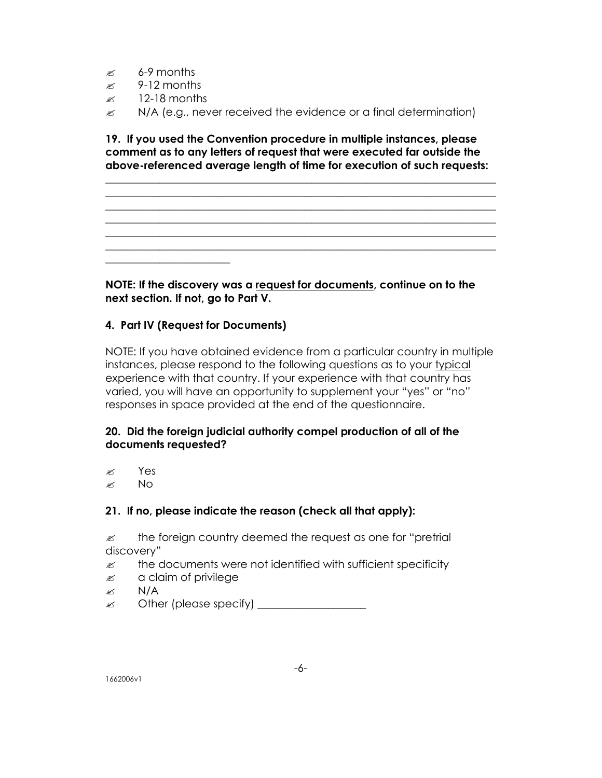- $\approx$  6-9 months
- $\approx$  9-12 months
- $\approx$  12-18 months

**\_\_\_\_\_\_\_\_\_\_\_\_\_\_\_\_\_\_\_\_\_\_\_**

 $\mathscr{L}$  N/A (e.g., never received the evidence or a final determination)

**19. If you used the Convention procedure in multiple instances, please comment as to any letters of request that were executed far outside the above-referenced average length of time for execution of such requests:** 

**\_\_\_\_\_\_\_\_\_\_\_\_\_\_\_\_\_\_\_\_\_\_\_\_\_\_\_\_\_\_\_\_\_\_\_\_\_\_\_\_\_\_\_\_\_\_\_\_\_\_\_\_\_\_\_\_\_\_\_\_\_\_\_\_\_\_\_\_\_\_\_\_ \_\_\_\_\_\_\_\_\_\_\_\_\_\_\_\_\_\_\_\_\_\_\_\_\_\_\_\_\_\_\_\_\_\_\_\_\_\_\_\_\_\_\_\_\_\_\_\_\_\_\_\_\_\_\_\_\_\_\_\_\_\_\_\_\_\_\_\_\_\_\_\_ \_\_\_\_\_\_\_\_\_\_\_\_\_\_\_\_\_\_\_\_\_\_\_\_\_\_\_\_\_\_\_\_\_\_\_\_\_\_\_\_\_\_\_\_\_\_\_\_\_\_\_\_\_\_\_\_\_\_\_\_\_\_\_\_\_\_\_\_\_\_\_\_ \_\_\_\_\_\_\_\_\_\_\_\_\_\_\_\_\_\_\_\_\_\_\_\_\_\_\_\_\_\_\_\_\_\_\_\_\_\_\_\_\_\_\_\_\_\_\_\_\_\_\_\_\_\_\_\_\_\_\_\_\_\_\_\_\_\_\_\_\_\_\_\_ \_\_\_\_\_\_\_\_\_\_\_\_\_\_\_\_\_\_\_\_\_\_\_\_\_\_\_\_\_\_\_\_\_\_\_\_\_\_\_\_\_\_\_\_\_\_\_\_\_\_\_\_\_\_\_\_\_\_\_\_\_\_\_\_\_\_\_\_\_\_\_\_ \_\_\_\_\_\_\_\_\_\_\_\_\_\_\_\_\_\_\_\_\_\_\_\_\_\_\_\_\_\_\_\_\_\_\_\_\_\_\_\_\_\_\_\_\_\_\_\_\_\_\_\_\_\_\_\_\_\_\_\_\_\_\_\_\_\_\_\_\_\_\_\_**

**NOTE: If the discovery was a request for documents, continue on to the next section. If not, go to Part V.**

# **4. Part IV (Request for Documents)**

NOTE: If you have obtained evidence from a particular country in multiple instances, please respond to the following questions as to your typical experience with that country. If your experience with that country has varied, you will have an opportunity to supplement your "yes" or "no" responses in space provided at the end of the questionnaire.

# **20. Did the foreign judicial authority compel production of all of the documents requested?**

- ? Yes
- $\approx$  No

## **21. If no, please indicate the reason (check all that apply):**

 $\mathbb Z$  the foreign country deemed the request as one for "pretrial discovery"

- $\mathbb{Z}$  the documents were not identified with sufficient specificity
- $\mathscr{\mathscr{E}}$  a claim of privilege
- $\approx$  N/A
- ? Other (please specify) \_\_\_\_\_\_\_\_\_\_\_\_\_\_\_\_\_\_\_\_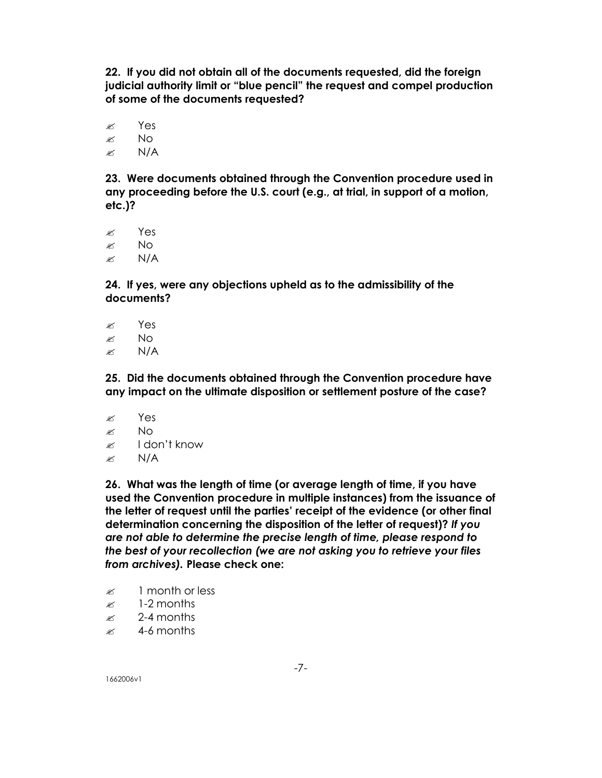**22. If you did not obtain all of the documents requested, did the foreign judicial authority limit or "blue pencil" the request and compel production of some of the documents requested?**

 $\approx$  Yes  $\approx$  No  $\approx$  N/A

**23. Were documents obtained through the Convention procedure used in any proceeding before the U.S. court (e.g., at trial, in support of a motion, etc.)?**

? Yes  $\approx$  No  $\approx$  N/A

**24. If yes, were any objections upheld as to the admissibility of the documents?**

- $\mathscr{B}$  Yes
- $\approx$  No
- $\mathbb{Z}$  N/A

**25. Did the documents obtained through the Convention procedure have any impact on the ultimate disposition or settlement posture of the case?**

- $\approx$  Yes
- $\approx$  No
- $\approx$  I don't know
- $\mathscr{\mathscr{L}}$  N/A

**26. What was the length of time (or average length of time, if you have used the Convention procedure in multiple instances) from the issuance of the letter of request until the parties' receipt of the evidence (or other final determination concerning the disposition of the letter of request)?** *If you are not able to determine the precise length of time, please respond to the best of your recollection (we are not asking you to retrieve your files from archives).* **Please check one:**

- $\approx$  1 month or less
- $\approx$  1-2 months
- $\approx$  2-4 months
- $\approx 4$ -6 months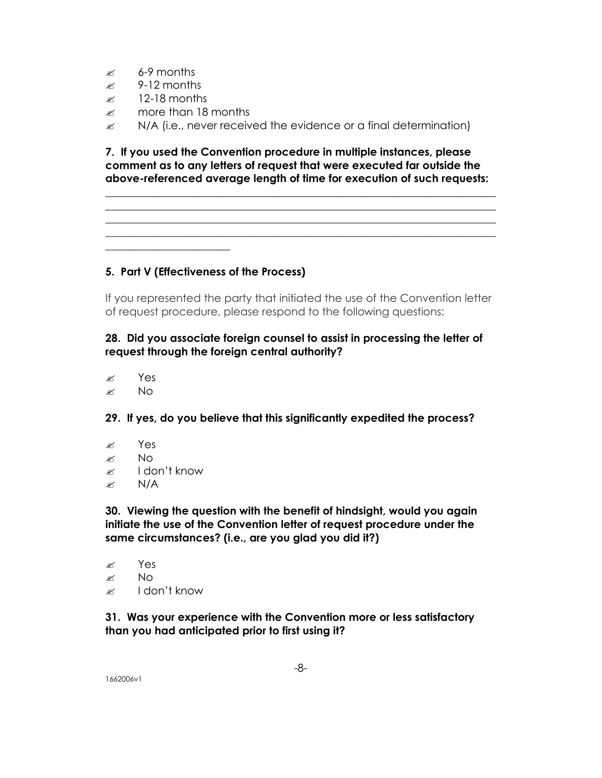- $\approx$  6-9 months
- $\approx$  9-12 months
- $\approx$  12-18 months

**\_\_\_\_\_\_\_\_\_\_\_\_\_\_\_\_\_\_\_\_\_\_\_**

- $\mathscr{R}$  more than 18 months
- $\mathscr{L}$  N/A (i.e., never received the evidence or a final determination)

**7. If you used the Convention procedure in multiple instances, please comment as to any letters of request that were executed far outside the above-referenced average length of time for execution of such requests:**

**\_\_\_\_\_\_\_\_\_\_\_\_\_\_\_\_\_\_\_\_\_\_\_\_\_\_\_\_\_\_\_\_\_\_\_\_\_\_\_\_\_\_\_\_\_\_\_\_\_\_\_\_\_\_\_\_\_\_\_\_\_\_\_\_\_\_\_\_\_\_\_\_ \_\_\_\_\_\_\_\_\_\_\_\_\_\_\_\_\_\_\_\_\_\_\_\_\_\_\_\_\_\_\_\_\_\_\_\_\_\_\_\_\_\_\_\_\_\_\_\_\_\_\_\_\_\_\_\_\_\_\_\_\_\_\_\_\_\_\_\_\_\_\_\_ \_\_\_\_\_\_\_\_\_\_\_\_\_\_\_\_\_\_\_\_\_\_\_\_\_\_\_\_\_\_\_\_\_\_\_\_\_\_\_\_\_\_\_\_\_\_\_\_\_\_\_\_\_\_\_\_\_\_\_\_\_\_\_\_\_\_\_\_\_\_\_\_ \_\_\_\_\_\_\_\_\_\_\_\_\_\_\_\_\_\_\_\_\_\_\_\_\_\_\_\_\_\_\_\_\_\_\_\_\_\_\_\_\_\_\_\_\_\_\_\_\_\_\_\_\_\_\_\_\_\_\_\_\_\_\_\_\_\_\_\_\_\_\_\_**

## **5. Part V (Effectiveness of the Process)**

If you represented the party that initiated the use of the Convention letter of request procedure, please respond to the following questions:

# **28. Did you associate foreign counsel to assist in processing the letter of request through the foreign central authority?**

- ? Yes
- $\approx$  No

**29. If yes, do you believe that this significantly expedited the process?**

- $\approx$  Yes
- $\approx$  No
- $\approx$  I don't know
- $\approx$  N/A

**30. Viewing the question with the benefit of hindsight, would you again initiate the use of the Convention letter of request procedure under the same circumstances? (i.e., are you glad you did it?)**

? Yes  $\mathscr{L}$  No  $\approx$  I don't know

**31. Was your experience with the Convention more or less satisfactory than you had anticipated prior to first using it?**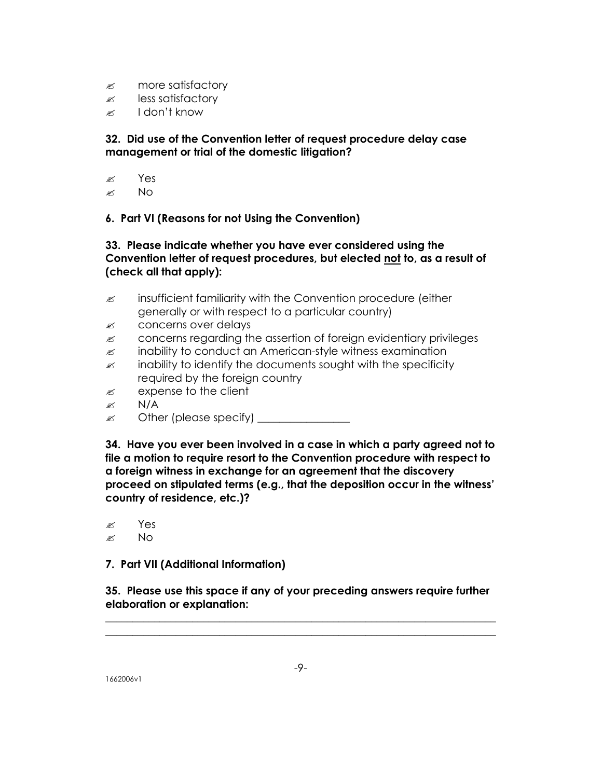- $\mathscr{L}$  more satisfactory
- $\mathscr{\mathscr{E}}$  less satisfactory
- $\approx$  I don't know

## **32. Did use of the Convention letter of request procedure delay case management or trial of the domestic litigation?**

- $\approx$  Yes
- $\approx$  No

## **6. Part VI (Reasons for not Using the Convention)**

# **33. Please indicate whether you have ever considered using the Convention letter of request procedures, but elected not to, as a result of (check all that apply):**

- $\mathscr{L}$  insufficient familiarity with the Convention procedure (either generally or with respect to a particular country)
- $\mathscr{L}$  concerns over delays
- $\approx$  concerns regarding the assertion of foreign evidentiary privileges
- $\mathscr{L}$  inability to conduct an American-style witness examination
- $\mathscr{L}$  inability to identify the documents sought with the specificity required by the foreign country
- $\approx$  expense to the client
- $\approx$  N/A
- $\mathscr{L}$  Other (please specify)

**34. Have you ever been involved in a case in which a party agreed not to file a motion to require resort to the Convention procedure with respect to a foreign witness in exchange for an agreement that the discovery proceed on stipulated terms (e.g., that the deposition occur in the witness' country of residence, etc.)?**

? Yes  $\mathscr{L}$  No

**7. Part VII (Additional Information)**

**35. Please use this space if any of your preceding answers require further elaboration or explanation:** 

**\_\_\_\_\_\_\_\_\_\_\_\_\_\_\_\_\_\_\_\_\_\_\_\_\_\_\_\_\_\_\_\_\_\_\_\_\_\_\_\_\_\_\_\_\_\_\_\_\_\_\_\_\_\_\_\_\_\_\_\_\_\_\_\_\_\_\_\_\_\_\_\_ \_\_\_\_\_\_\_\_\_\_\_\_\_\_\_\_\_\_\_\_\_\_\_\_\_\_\_\_\_\_\_\_\_\_\_\_\_\_\_\_\_\_\_\_\_\_\_\_\_\_\_\_\_\_\_\_\_\_\_\_\_\_\_\_\_\_\_\_\_\_\_\_**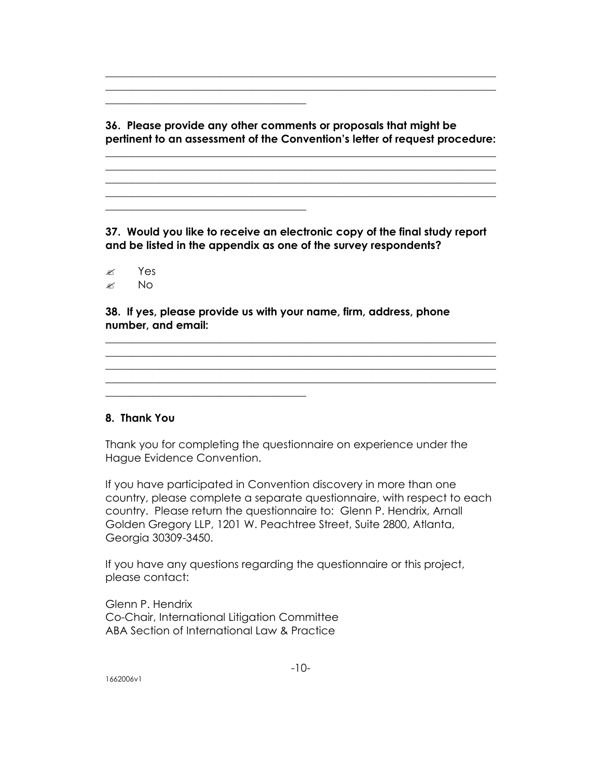**36. Please provide any other comments or proposals that might be pertinent to an assessment of the Convention's letter of request procedure:** 

**\_\_\_\_\_\_\_\_\_\_\_\_\_\_\_\_\_\_\_\_\_\_\_\_\_\_\_\_\_\_\_\_\_\_\_\_\_\_\_\_\_\_\_\_\_\_\_\_\_\_\_\_\_\_\_\_\_\_\_\_\_\_\_\_\_\_\_\_\_\_\_\_ \_\_\_\_\_\_\_\_\_\_\_\_\_\_\_\_\_\_\_\_\_\_\_\_\_\_\_\_\_\_\_\_\_\_\_\_\_\_\_\_\_\_\_\_\_\_\_\_\_\_\_\_\_\_\_\_\_\_\_\_\_\_\_\_\_\_\_\_\_\_\_\_ \_\_\_\_\_\_\_\_\_\_\_\_\_\_\_\_\_\_\_\_\_\_\_\_\_\_\_\_\_\_\_\_\_\_\_\_\_\_\_\_\_\_\_\_\_\_\_\_\_\_\_\_\_\_\_\_\_\_\_\_\_\_\_\_\_\_\_\_\_\_\_\_ \_\_\_\_\_\_\_\_\_\_\_\_\_\_\_\_\_\_\_\_\_\_\_\_\_\_\_\_\_\_\_\_\_\_\_\_\_\_\_\_\_\_\_\_\_\_\_\_\_\_\_\_\_\_\_\_\_\_\_\_\_\_\_\_\_\_\_\_\_\_\_\_**

**\_\_\_\_\_\_\_\_\_\_\_\_\_\_\_\_\_\_\_\_\_\_\_\_\_\_\_\_\_\_\_\_\_\_\_\_\_\_\_\_\_\_\_\_\_\_\_\_\_\_\_\_\_\_\_\_\_\_\_\_\_\_\_\_\_\_\_\_\_\_\_\_ \_\_\_\_\_\_\_\_\_\_\_\_\_\_\_\_\_\_\_\_\_\_\_\_\_\_\_\_\_\_\_\_\_\_\_\_\_\_\_\_\_\_\_\_\_\_\_\_\_\_\_\_\_\_\_\_\_\_\_\_\_\_\_\_\_\_\_\_\_\_\_\_**

**\_\_\_\_\_\_\_\_\_\_\_\_\_\_\_\_\_\_\_\_\_\_\_\_\_\_\_\_\_\_\_\_\_\_\_\_\_**

**\_\_\_\_\_\_\_\_\_\_\_\_\_\_\_\_\_\_\_\_\_\_\_\_\_\_\_\_\_\_\_\_\_\_\_\_\_**

**\_\_\_\_\_\_\_\_\_\_\_\_\_\_\_\_\_\_\_\_\_\_\_\_\_\_\_\_\_\_\_\_\_\_\_\_\_**

**37. Would you like to receive an electronic copy of the final study report and be listed in the appendix as one of the survey respondents?**

**\_\_\_\_\_\_\_\_\_\_\_\_\_\_\_\_\_\_\_\_\_\_\_\_\_\_\_\_\_\_\_\_\_\_\_\_\_\_\_\_\_\_\_\_\_\_\_\_\_\_\_\_\_\_\_\_\_\_\_\_\_\_\_\_\_\_\_\_\_\_\_\_ \_\_\_\_\_\_\_\_\_\_\_\_\_\_\_\_\_\_\_\_\_\_\_\_\_\_\_\_\_\_\_\_\_\_\_\_\_\_\_\_\_\_\_\_\_\_\_\_\_\_\_\_\_\_\_\_\_\_\_\_\_\_\_\_\_\_\_\_\_\_\_\_ \_\_\_\_\_\_\_\_\_\_\_\_\_\_\_\_\_\_\_\_\_\_\_\_\_\_\_\_\_\_\_\_\_\_\_\_\_\_\_\_\_\_\_\_\_\_\_\_\_\_\_\_\_\_\_\_\_\_\_\_\_\_\_\_\_\_\_\_\_\_\_\_**

? Yes  $\approx$  No

**38. If yes, please provide us with your name, firm, address, phone number, and email:**

## **8. Thank You**

Thank you for completing the questionnaire on experience under the Hague Evidence Convention.

If you have participated in Convention discovery in more than one country, please complete a separate questionnaire, with respect to each country. Please return the questionnaire to: Glenn P. Hendrix, Arnall Golden Gregory LLP, 1201 W. Peachtree Street, Suite 2800, Atlanta, Georgia 30309-3450.

If you have any questions regarding the questionnaire or this project, please contact:

Glenn P. Hendrix Co-Chair, International Litigation Committee ABA Section of International Law & Practice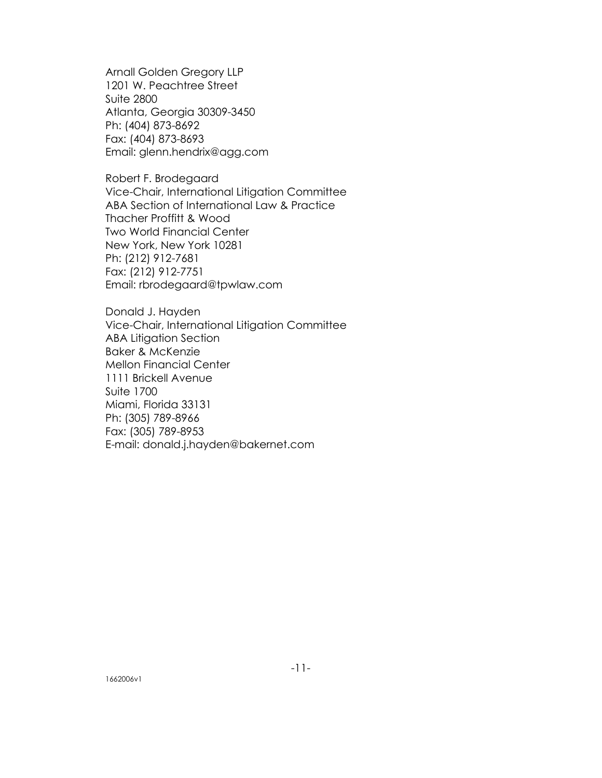Arnall Golden Gregory LLP 1201 W. Peachtree Street Suite 2800 Atlanta, Georgia 30309-3450 Ph: (404) 873-8692 Fax: (404) 873-8693 Email: glenn.hendrix@agg.com

Robert F. Brodegaard Vice-Chair, International Litigation Committee ABA Section of International Law & Practice Thacher Proffitt & Wood Two World Financial Center New York, New York 10281 Ph: (212) 912-7681 Fax: (212) 912-7751 Email: rbrodegaard@tpwlaw.com

Donald J. Hayden Vice-Chair, International Litigation Committee ABA Litigation Section Baker & McKenzie Mellon Financial Center 1111 Brickell Avenue Suite 1700 Miami, Florida 33131 Ph: (305) 789-8966 Fax: (305) 789-8953 E-mail: donald.j.hayden@bakernet.com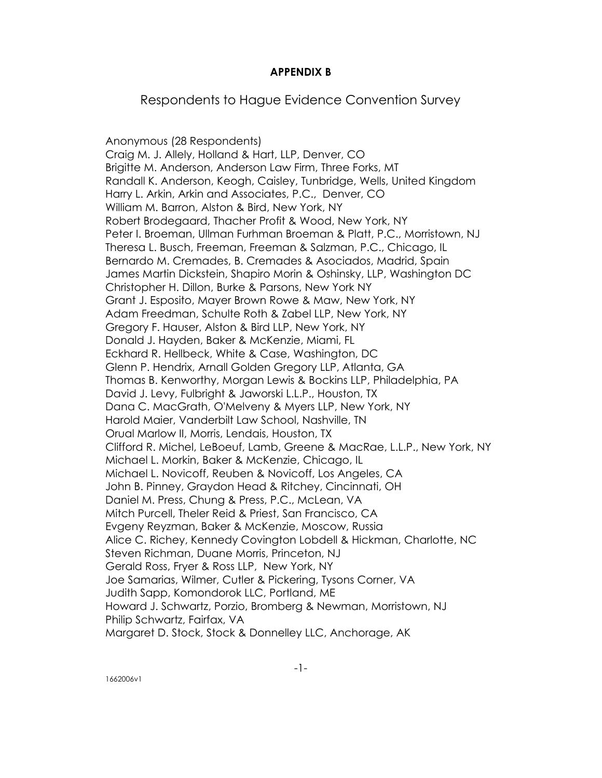## **APPENDIX B**

Respondents to Hague Evidence Convention Survey

Anonymous (28 Respondents) Craig M. J. Allely, Holland & Hart, LLP, Denver, CO Brigitte M. Anderson, Anderson Law Firm, Three Forks, MT Randall K. Anderson, Keogh, Caisley, Tunbridge, Wells, United Kingdom Harry L. Arkin, Arkin and Associates, P.C., Denver, CO William M. Barron, Alston & Bird, New York, NY Robert Brodegaard, Thacher Profit & Wood, New York, NY Peter I. Broeman, Ullman Furhman Broeman & Platt, P.C., Morristown, NJ Theresa L. Busch, Freeman, Freeman & Salzman, P.C., Chicago, IL Bernardo M. Cremades, B. Cremades & Asociados, Madrid, Spain James Martin Dickstein, Shapiro Morin & Oshinsky, LLP, Washington DC Christopher H. Dillon, Burke & Parsons, New York NY Grant J. Esposito, Mayer Brown Rowe & Maw, New York, NY Adam Freedman, Schulte Roth & Zabel LLP, New York, NY Gregory F. Hauser, Alston & Bird LLP, New York, NY Donald J. Hayden, Baker & McKenzie, Miami, FL Eckhard R. Hellbeck, White & Case, Washington, DC Glenn P. Hendrix, Arnall Golden Gregory LLP, Atlanta, GA Thomas B. Kenworthy, Morgan Lewis & Bockins LLP, Philadelphia, PA David J. Levy, Fulbright & Jaworski L.L.P., Houston, TX Dana C. MacGrath, O'Melveny & Myers LLP, New York, NY Harold Maier, Vanderbilt Law School, Nashville, TN Orual Marlow II, Morris, Lendais, Houston, TX Clifford R. Michel, LeBoeuf, Lamb, Greene & MacRae, L.L.P., New York, NY Michael L. Morkin, Baker & McKenzie, Chicago, IL Michael L. Novicoff, Reuben & Novicoff, Los Angeles, CA John B. Pinney, Graydon Head & Ritchey, Cincinnati, OH Daniel M. Press, Chung & Press, P.C., McLean, VA Mitch Purcell, Theler Reid & Priest, San Francisco, CA Evgeny Reyzman, Baker & McKenzie, Moscow, Russia Alice C. Richey, Kennedy Covington Lobdell & Hickman, Charlotte, NC Steven Richman, Duane Morris, Princeton, NJ Gerald Ross, Fryer & Ross LLP, New York, NY Joe Samarias, Wilmer, Cutler & Pickering, Tysons Corner, VA Judith Sapp, Komondorok LLC, Portland, ME Howard J. Schwartz, Porzio, Bromberg & Newman, Morristown, NJ Philip Schwartz, Fairfax, VA Margaret D. Stock, Stock & Donnelley LLC, Anchorage, AK